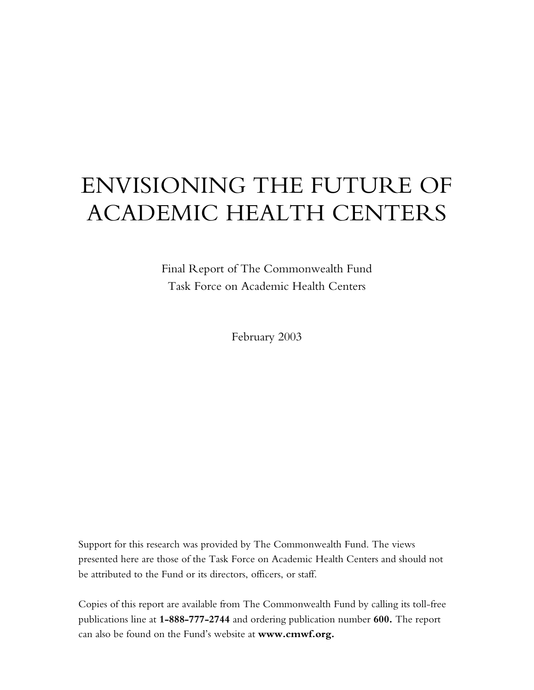# ENVISIONING THE FUTURE OF ACADEMIC HEALTH CENTERS

Final Report of The Commonwealth Fund Task Force on Academic Health Centers

February 2003

Support for this research was provided by The Commonwealth Fund. The views presented here are those of the Task Force on Academic Health Centers and should not be attributed to the Fund or its directors, officers, or staff.

Copies of this report are available from The Commonwealth Fund by calling its toll-free publications line at **1-888-777-2744** and ordering publication number **600.** The report can also be found on the Fund's website at **www.cmwf.org.**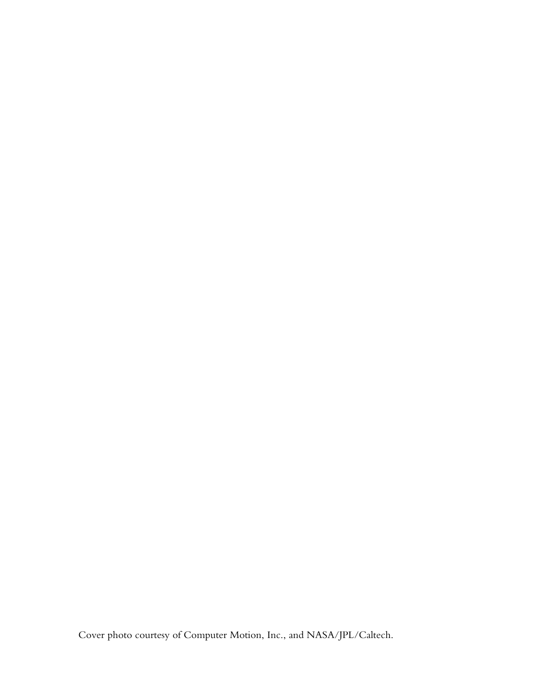Cover photo courtesy of Computer Motion, Inc., and NASA/JPL/Caltech.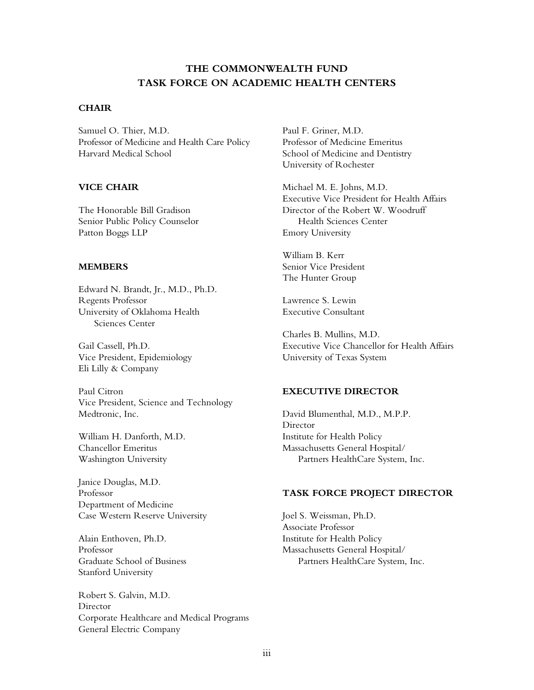# **THE COMMONWEALTH FUND TASK FORCE ON ACADEMIC HEALTH CENTERS**

#### **CHAIR**

Samuel O. Thier, M.D. Professor of Medicine and Health Care Policy Harvard Medical School

## **VICE CHAIR**

The Honorable Bill Gradison Senior Public Policy Counselor Patton Boggs LLP

#### **MEMBERS**

Edward N. Brandt, Jr., M.D., Ph.D. Regents Professor University of Oklahoma Health Sciences Center

Gail Cassell, Ph.D. Vice President, Epidemiology Eli Lilly & Company

Paul Citron Vice President, Science and Technology Medtronic, Inc.

William H. Danforth, M.D. Chancellor Emeritus Washington University

Janice Douglas, M.D. Professor Department of Medicine Case Western Reserve University

Alain Enthoven, Ph.D. Professor Graduate School of Business Stanford University

Robert S. Galvin, M.D. Director Corporate Healthcare and Medical Programs General Electric Company

Paul F. Griner, M.D. Professor of Medicine Emeritus School of Medicine and Dentistry University of Rochester

Michael M. E. Johns, M.D. Executive Vice President for Health Affairs Director of the Robert W. Woodruff Health Sciences Center Emory University

William B. Kerr Senior Vice President The Hunter Group

Lawrence S. Lewin Executive Consultant

Charles B. Mullins, M.D. Executive Vice Chancellor for Health Affairs University of Texas System

#### **EXECUTIVE DIRECTOR**

David Blumenthal, M.D., M.P.P. Director Institute for Health Policy Massachusetts General Hospital/ Partners HealthCare System, Inc.

#### **TASK FORCE PROJECT DIRECTOR**

Joel S. Weissman, Ph.D. Associate Professor Institute for Health Policy Massachusetts General Hospital/ Partners HealthCare System, Inc.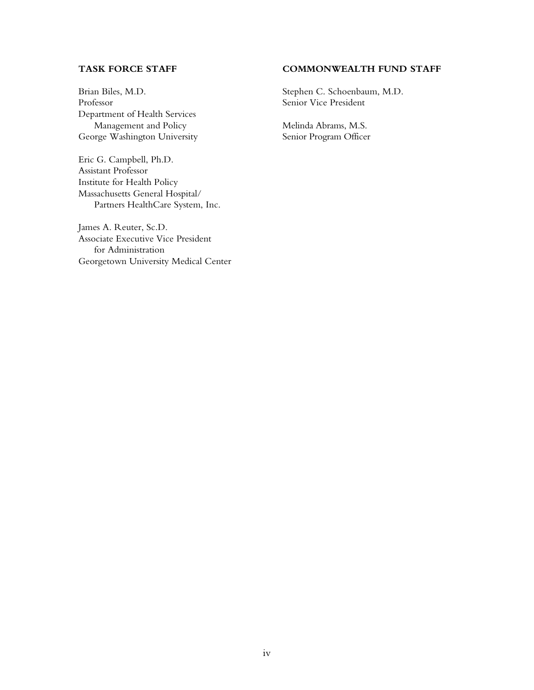## **TASK FORCE STAFF**

Brian Biles, M.D. Professor Department of Health Services Management and Policy George Washington University

Eric G. Campbell, Ph.D. Assistant Professor Institute for Health Policy Massachusetts General Hospital/ Partners HealthCare System, Inc.

James A. Reuter, Sc.D. Associate Executive Vice President for Administration Georgetown University Medical Center

## **COMMONWEALTH FUND STAFF**

Stephen C. Schoenbaum, M.D. Senior Vice President

Melinda Abrams, M.S. Senior Program Officer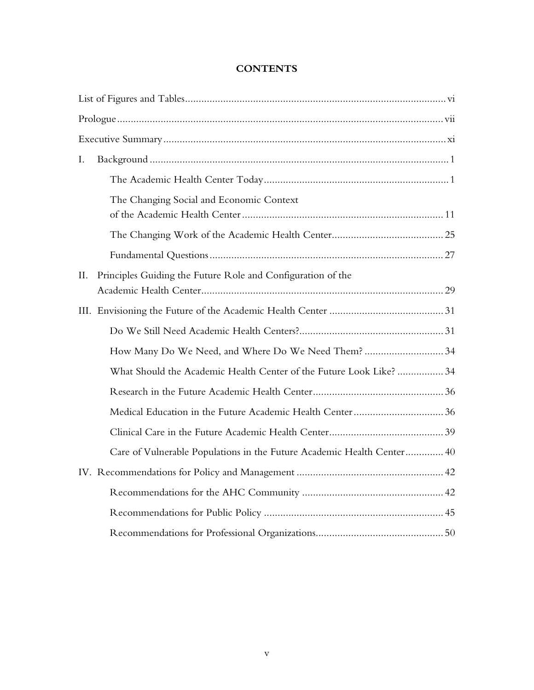| I.  |                                                                        |
|-----|------------------------------------------------------------------------|
|     |                                                                        |
|     | The Changing Social and Economic Context                               |
|     |                                                                        |
|     |                                                                        |
| II. | Principles Guiding the Future Role and Configuration of the            |
|     |                                                                        |
|     |                                                                        |
|     | How Many Do We Need, and Where Do We Need Them? 34                     |
|     | What Should the Academic Health Center of the Future Look Like?  34    |
|     |                                                                        |
|     |                                                                        |
|     |                                                                        |
|     | Care of Vulnerable Populations in the Future Academic Health Center 40 |
|     |                                                                        |
|     |                                                                        |
|     |                                                                        |
|     |                                                                        |

# **CONTENTS**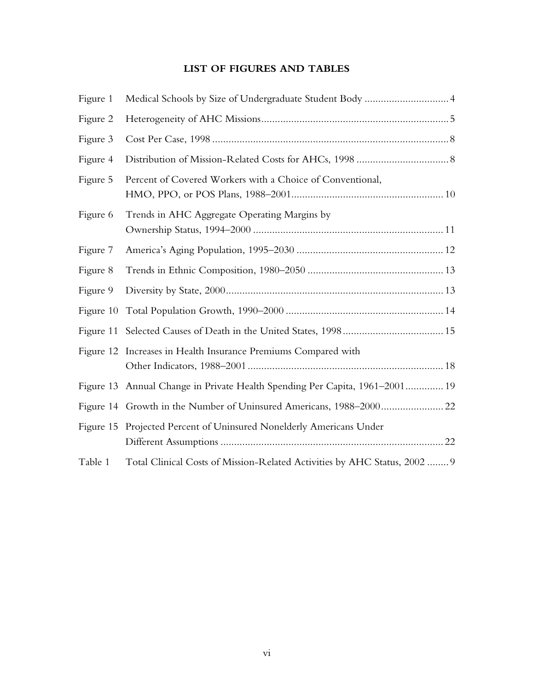# **LIST OF FIGURES AND TABLES**

| Figure 1  | Medical Schools by Size of Undergraduate Student Body  4                    |
|-----------|-----------------------------------------------------------------------------|
| Figure 2  |                                                                             |
| Figure 3  |                                                                             |
| Figure 4  |                                                                             |
| Figure 5  | Percent of Covered Workers with a Choice of Conventional,                   |
| Figure 6  | Trends in AHC Aggregate Operating Margins by                                |
| Figure 7  |                                                                             |
| Figure 8  |                                                                             |
| Figure 9  |                                                                             |
| Figure 10 |                                                                             |
|           |                                                                             |
|           | Figure 12 Increases in Health Insurance Premiums Compared with              |
|           | Figure 13 Annual Change in Private Health Spending Per Capita, 1961-2001 19 |
|           | Figure 14 Growth in the Number of Uninsured Americans, 1988-2000 22         |
|           | Figure 15 Projected Percent of Uninsured Nonelderly Americans Under         |
| Table 1   | Total Clinical Costs of Mission-Related Activities by AHC Status, 2002  9   |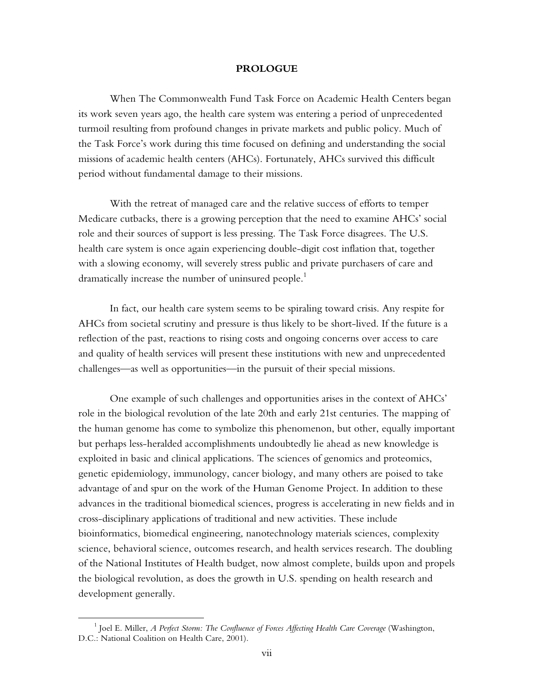#### **PROLOGUE**

When The Commonwealth Fund Task Force on Academic Health Centers began its work seven years ago, the health care system was entering a period of unprecedented turmoil resulting from profound changes in private markets and public policy. Much of the Task Force's work during this time focused on defining and understanding the social missions of academic health centers (AHCs). Fortunately, AHCs survived this difficult period without fundamental damage to their missions.

With the retreat of managed care and the relative success of efforts to temper Medicare cutbacks, there is a growing perception that the need to examine AHCs' social role and their sources of support is less pressing. The Task Force disagrees. The U.S. health care system is once again experiencing double-digit cost inflation that, together with a slowing economy, will severely stress public and private purchasers of care and dramatically increase the number of uninsured people.<sup>1</sup>

In fact, our health care system seems to be spiraling toward crisis. Any respite for AHCs from societal scrutiny and pressure is thus likely to be short-lived. If the future is a reflection of the past, reactions to rising costs and ongoing concerns over access to care and quality of health services will present these institutions with new and unprecedented challenges—as well as opportunities—in the pursuit of their special missions.

One example of such challenges and opportunities arises in the context of AHCs' role in the biological revolution of the late 20th and early 21st centuries. The mapping of the human genome has come to symbolize this phenomenon, but other, equally important but perhaps less-heralded accomplishments undoubtedly lie ahead as new knowledge is exploited in basic and clinical applications. The sciences of genomics and proteomics, genetic epidemiology, immunology, cancer biology, and many others are poised to take advantage of and spur on the work of the Human Genome Project. In addition to these advances in the traditional biomedical sciences, progress is accelerating in new fields and in cross-disciplinary applications of traditional and new activities. These include bioinformatics, biomedical engineering, nanotechnology materials sciences, complexity science, behavioral science, outcomes research, and health services research. The doubling of the National Institutes of Health budget, now almost complete, builds upon and propels the biological revolution, as does the growth in U.S. spending on health research and development generally.

 $\overline{a}$ 

<sup>1</sup> Joel E. Miller, *A Perfect Storm: The Confluence of Forces Affecting Health Care Coverage* (Washington, D.C.: National Coalition on Health Care, 2001).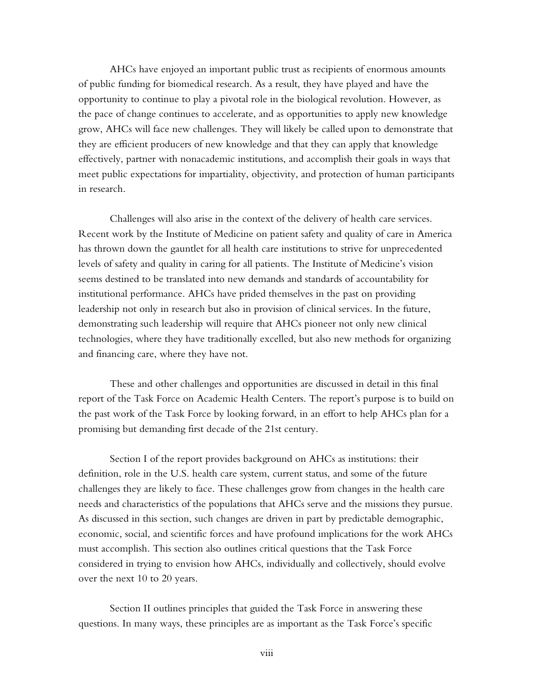AHCs have enjoyed an important public trust as recipients of enormous amounts of public funding for biomedical research. As a result, they have played and have the opportunity to continue to play a pivotal role in the biological revolution. However, as the pace of change continues to accelerate, and as opportunities to apply new knowledge grow, AHCs will face new challenges. They will likely be called upon to demonstrate that they are efficient producers of new knowledge and that they can apply that knowledge effectively, partner with nonacademic institutions, and accomplish their goals in ways that meet public expectations for impartiality, objectivity, and protection of human participants in research.

Challenges will also arise in the context of the delivery of health care services. Recent work by the Institute of Medicine on patient safety and quality of care in America has thrown down the gauntlet for all health care institutions to strive for unprecedented levels of safety and quality in caring for all patients. The Institute of Medicine's vision seems destined to be translated into new demands and standards of accountability for institutional performance. AHCs have prided themselves in the past on providing leadership not only in research but also in provision of clinical services. In the future, demonstrating such leadership will require that AHCs pioneer not only new clinical technologies, where they have traditionally excelled, but also new methods for organizing and financing care, where they have not.

These and other challenges and opportunities are discussed in detail in this final report of the Task Force on Academic Health Centers. The report's purpose is to build on the past work of the Task Force by looking forward, in an effort to help AHCs plan for a promising but demanding first decade of the 21st century.

Section I of the report provides background on AHCs as institutions: their definition, role in the U.S. health care system, current status, and some of the future challenges they are likely to face. These challenges grow from changes in the health care needs and characteristics of the populations that AHCs serve and the missions they pursue. As discussed in this section, such changes are driven in part by predictable demographic, economic, social, and scientific forces and have profound implications for the work AHCs must accomplish. This section also outlines critical questions that the Task Force considered in trying to envision how AHCs, individually and collectively, should evolve over the next 10 to 20 years.

Section II outlines principles that guided the Task Force in answering these questions. In many ways, these principles are as important as the Task Force's specific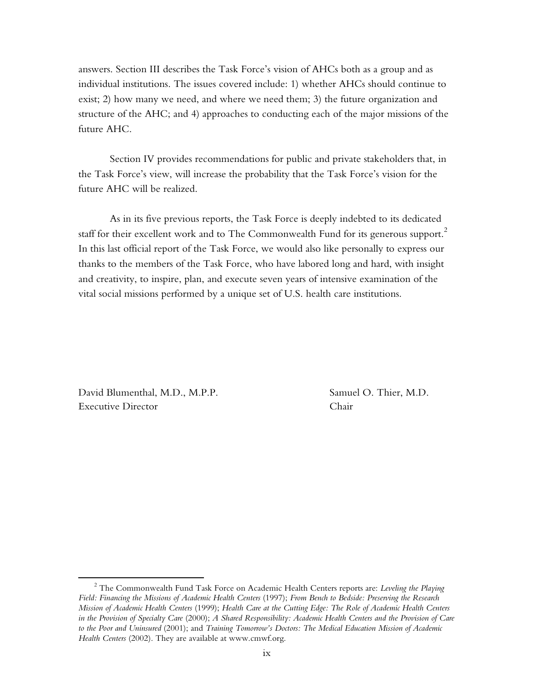answers. Section III describes the Task Force's vision of AHCs both as a group and as individual institutions. The issues covered include: 1) whether AHCs should continue to exist; 2) how many we need, and where we need them; 3) the future organization and structure of the AHC; and 4) approaches to conducting each of the major missions of the future AHC.

Section IV provides recommendations for public and private stakeholders that, in the Task Force's view, will increase the probability that the Task Force's vision for the future AHC will be realized.

As in its five previous reports, the Task Force is deeply indebted to its dedicated staff for their excellent work and to The Commonwealth Fund for its generous support.<sup>2</sup> In this last official report of the Task Force, we would also like personally to express our thanks to the members of the Task Force, who have labored long and hard, with insight and creativity, to inspire, plan, and execute seven years of intensive examination of the vital social missions performed by a unique set of U.S. health care institutions.

David Blumenthal, M.D., M.P.P. Samuel O. Thier, M.D. Executive Director Chair

<u>.</u>

<sup>2</sup> The Commonwealth Fund Task Force on Academic Health Centers reports are: *Leveling the Playing Field: Financing the Missions of Academic Health Centers* (1997); *From Bench to Bedside: Preserving the Research Mission of Academic Health Centers* (1999); *Health Care at the Cutting Edge: The Role of Academic Health Centers in the Provision of Specialty Care* (2000); *A Shared Responsibility: Academic Health Centers and the Provision of Care to the Poor and Uninsured* (2001); and *Training Tomorrow's Doctors: The Medical Education Mission of Academic Health Centers* (2002). They are available at www.cmwf.org.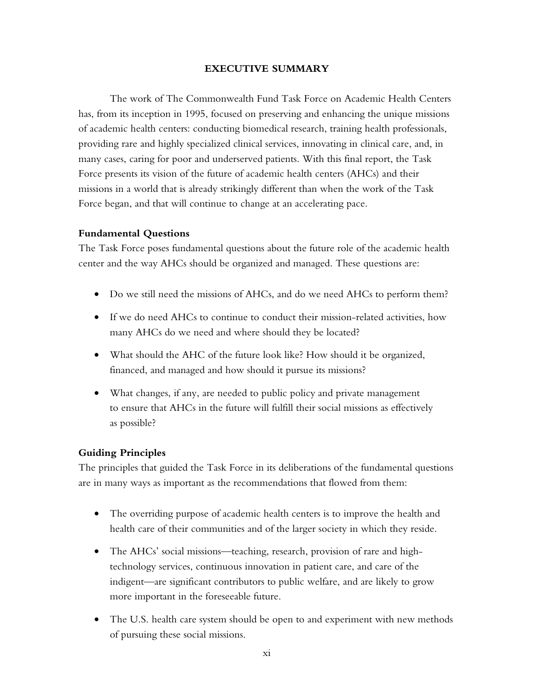## **EXECUTIVE SUMMARY**

The work of The Commonwealth Fund Task Force on Academic Health Centers has, from its inception in 1995, focused on preserving and enhancing the unique missions of academic health centers: conducting biomedical research, training health professionals, providing rare and highly specialized clinical services, innovating in clinical care, and, in many cases, caring for poor and underserved patients. With this final report, the Task Force presents its vision of the future of academic health centers (AHCs) and their missions in a world that is already strikingly different than when the work of the Task Force began, and that will continue to change at an accelerating pace.

## **Fundamental Questions**

The Task Force poses fundamental questions about the future role of the academic health center and the way AHCs should be organized and managed. These questions are:

- Do we still need the missions of AHCs, and do we need AHCs to perform them?
- If we do need AHCs to continue to conduct their mission-related activities, how many AHCs do we need and where should they be located?
- What should the AHC of the future look like? How should it be organized, financed, and managed and how should it pursue its missions?
- What changes, if any, are needed to public policy and private management to ensure that AHCs in the future will fulfill their social missions as effectively as possible?

## **Guiding Principles**

The principles that guided the Task Force in its deliberations of the fundamental questions are in many ways as important as the recommendations that flowed from them:

- The overriding purpose of academic health centers is to improve the health and health care of their communities and of the larger society in which they reside.
- The AHCs' social missions—teaching, research, provision of rare and hightechnology services, continuous innovation in patient care, and care of the indigent—are significant contributors to public welfare, and are likely to grow more important in the foreseeable future.
- The U.S. health care system should be open to and experiment with new methods of pursuing these social missions.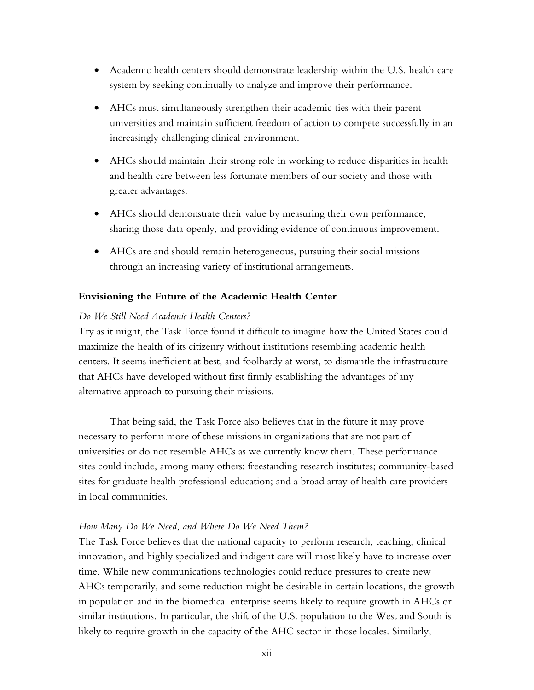- Academic health centers should demonstrate leadership within the U.S. health care system by seeking continually to analyze and improve their performance.
- AHCs must simultaneously strengthen their academic ties with their parent universities and maintain sufficient freedom of action to compete successfully in an increasingly challenging clinical environment.
- AHCs should maintain their strong role in working to reduce disparities in health and health care between less fortunate members of our society and those with greater advantages.
- AHCs should demonstrate their value by measuring their own performance, sharing those data openly, and providing evidence of continuous improvement.
- AHCs are and should remain heterogeneous, pursuing their social missions through an increasing variety of institutional arrangements.

## **Envisioning the Future of the Academic Health Center**

## *Do We Still Need Academic Health Centers?*

Try as it might, the Task Force found it difficult to imagine how the United States could maximize the health of its citizenry without institutions resembling academic health centers. It seems inefficient at best, and foolhardy at worst, to dismantle the infrastructure that AHCs have developed without first firmly establishing the advantages of any alternative approach to pursuing their missions.

That being said, the Task Force also believes that in the future it may prove necessary to perform more of these missions in organizations that are not part of universities or do not resemble AHCs as we currently know them. These performance sites could include, among many others: freestanding research institutes; community-based sites for graduate health professional education; and a broad array of health care providers in local communities.

## *How Many Do We Need, and Where Do We Need Them?*

The Task Force believes that the national capacity to perform research, teaching, clinical innovation, and highly specialized and indigent care will most likely have to increase over time. While new communications technologies could reduce pressures to create new AHCs temporarily, and some reduction might be desirable in certain locations, the growth in population and in the biomedical enterprise seems likely to require growth in AHCs or similar institutions. In particular, the shift of the U.S. population to the West and South is likely to require growth in the capacity of the AHC sector in those locales. Similarly,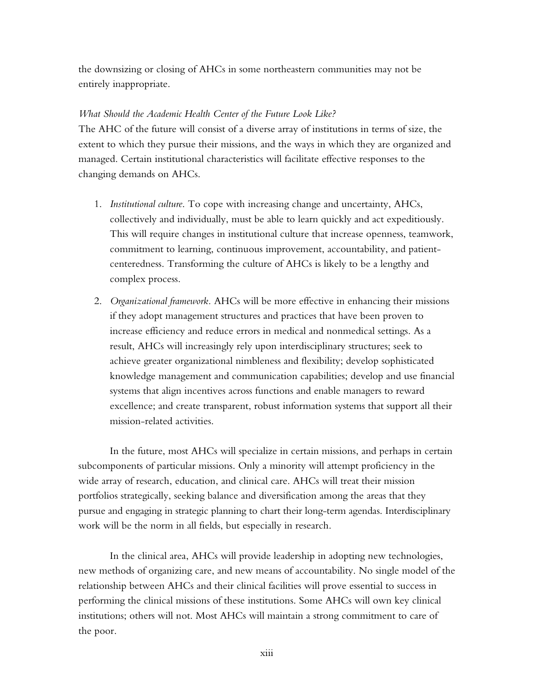the downsizing or closing of AHCs in some northeastern communities may not be entirely inappropriate.

## *What Should the Academic Health Center of the Future Look Like?*

The AHC of the future will consist of a diverse array of institutions in terms of size, the extent to which they pursue their missions, and the ways in which they are organized and managed. Certain institutional characteristics will facilitate effective responses to the changing demands on AHCs.

- 1. *Institutional culture*. To cope with increasing change and uncertainty, AHCs, collectively and individually, must be able to learn quickly and act expeditiously. This will require changes in institutional culture that increase openness, teamwork, commitment to learning, continuous improvement, accountability, and patientcenteredness. Transforming the culture of AHCs is likely to be a lengthy and complex process.
- 2. *Organizational framework.* AHCs will be more effective in enhancing their missions if they adopt management structures and practices that have been proven to increase efficiency and reduce errors in medical and nonmedical settings. As a result, AHCs will increasingly rely upon interdisciplinary structures; seek to achieve greater organizational nimbleness and flexibility; develop sophisticated knowledge management and communication capabilities; develop and use financial systems that align incentives across functions and enable managers to reward excellence; and create transparent, robust information systems that support all their mission-related activities.

In the future, most AHCs will specialize in certain missions, and perhaps in certain subcomponents of particular missions. Only a minority will attempt proficiency in the wide array of research, education, and clinical care. AHCs will treat their mission portfolios strategically, seeking balance and diversification among the areas that they pursue and engaging in strategic planning to chart their long-term agendas. Interdisciplinary work will be the norm in all fields, but especially in research.

In the clinical area, AHCs will provide leadership in adopting new technologies, new methods of organizing care, and new means of accountability. No single model of the relationship between AHCs and their clinical facilities will prove essential to success in performing the clinical missions of these institutions. Some AHCs will own key clinical institutions; others will not. Most AHCs will maintain a strong commitment to care of the poor.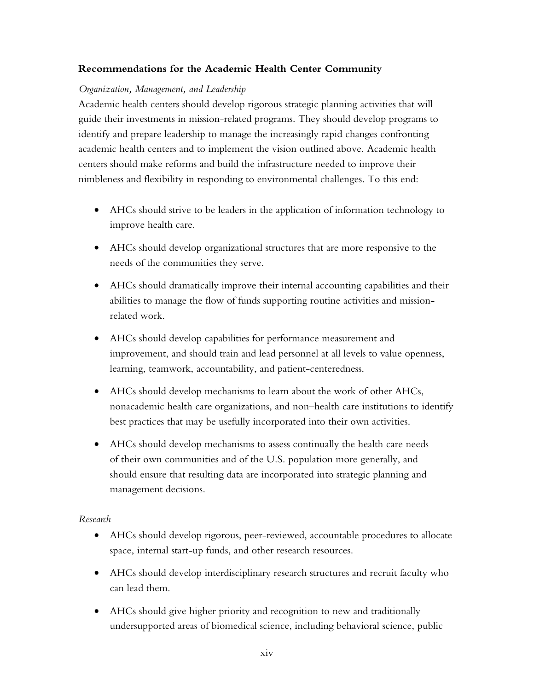# **Recommendations for the Academic Health Center Community**

# *Organization, Management, and Leadership*

Academic health centers should develop rigorous strategic planning activities that will guide their investments in mission-related programs. They should develop programs to identify and prepare leadership to manage the increasingly rapid changes confronting academic health centers and to implement the vision outlined above. Academic health centers should make reforms and build the infrastructure needed to improve their nimbleness and flexibility in responding to environmental challenges. To this end:

- AHCs should strive to be leaders in the application of information technology to improve health care.
- AHCs should develop organizational structures that are more responsive to the needs of the communities they serve.
- AHCs should dramatically improve their internal accounting capabilities and their abilities to manage the flow of funds supporting routine activities and missionrelated work.
- AHCs should develop capabilities for performance measurement and improvement, and should train and lead personnel at all levels to value openness, learning, teamwork, accountability, and patient-centeredness.
- AHCs should develop mechanisms to learn about the work of other AHCs, nonacademic health care organizations, and non–health care institutions to identify best practices that may be usefully incorporated into their own activities.
- AHCs should develop mechanisms to assess continually the health care needs of their own communities and of the U.S. population more generally, and should ensure that resulting data are incorporated into strategic planning and management decisions.

## *Research*

- AHCs should develop rigorous, peer-reviewed, accountable procedures to allocate space, internal start-up funds, and other research resources.
- AHCs should develop interdisciplinary research structures and recruit faculty who can lead them.
- AHCs should give higher priority and recognition to new and traditionally undersupported areas of biomedical science, including behavioral science, public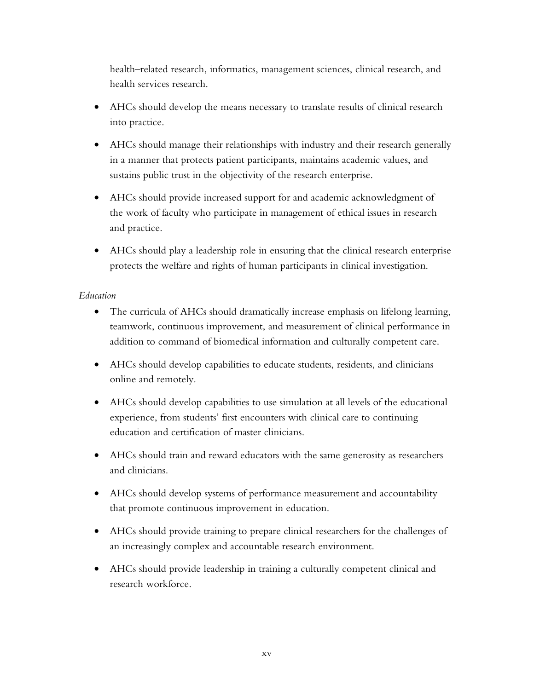health–related research, informatics, management sciences, clinical research, and health services research.

- AHCs should develop the means necessary to translate results of clinical research into practice.
- AHCs should manage their relationships with industry and their research generally in a manner that protects patient participants, maintains academic values, and sustains public trust in the objectivity of the research enterprise.
- AHCs should provide increased support for and academic acknowledgment of the work of faculty who participate in management of ethical issues in research and practice.
- AHCs should play a leadership role in ensuring that the clinical research enterprise protects the welfare and rights of human participants in clinical investigation.

# *Education*

- The curricula of AHCs should dramatically increase emphasis on lifelong learning, teamwork, continuous improvement, and measurement of clinical performance in addition to command of biomedical information and culturally competent care.
- AHCs should develop capabilities to educate students, residents, and clinicians online and remotely.
- AHCs should develop capabilities to use simulation at all levels of the educational experience, from students' first encounters with clinical care to continuing education and certification of master clinicians.
- AHCs should train and reward educators with the same generosity as researchers and clinicians.
- AHCs should develop systems of performance measurement and accountability that promote continuous improvement in education.
- AHCs should provide training to prepare clinical researchers for the challenges of an increasingly complex and accountable research environment.
- AHCs should provide leadership in training a culturally competent clinical and research workforce.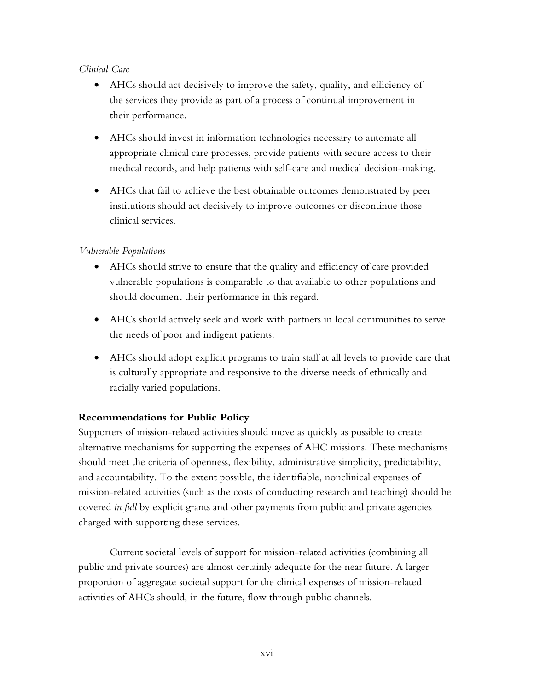# *Clinical Care*

- AHCs should act decisively to improve the safety, quality, and efficiency of the services they provide as part of a process of continual improvement in their performance.
- AHCs should invest in information technologies necessary to automate all appropriate clinical care processes, provide patients with secure access to their medical records, and help patients with self-care and medical decision-making.
- AHCs that fail to achieve the best obtainable outcomes demonstrated by peer institutions should act decisively to improve outcomes or discontinue those clinical services.

# *Vulnerable Populations*

- AHCs should strive to ensure that the quality and efficiency of care provided vulnerable populations is comparable to that available to other populations and should document their performance in this regard.
- AHCs should actively seek and work with partners in local communities to serve the needs of poor and indigent patients.
- AHCs should adopt explicit programs to train staff at all levels to provide care that is culturally appropriate and responsive to the diverse needs of ethnically and racially varied populations.

## **Recommendations for Public Policy**

Supporters of mission-related activities should move as quickly as possible to create alternative mechanisms for supporting the expenses of AHC missions. These mechanisms should meet the criteria of openness, flexibility, administrative simplicity, predictability, and accountability. To the extent possible, the identifiable, nonclinical expenses of mission-related activities (such as the costs of conducting research and teaching) should be covered *in full* by explicit grants and other payments from public and private agencies charged with supporting these services.

Current societal levels of support for mission-related activities (combining all public and private sources) are almost certainly adequate for the near future. A larger proportion of aggregate societal support for the clinical expenses of mission-related activities of AHCs should, in the future, flow through public channels.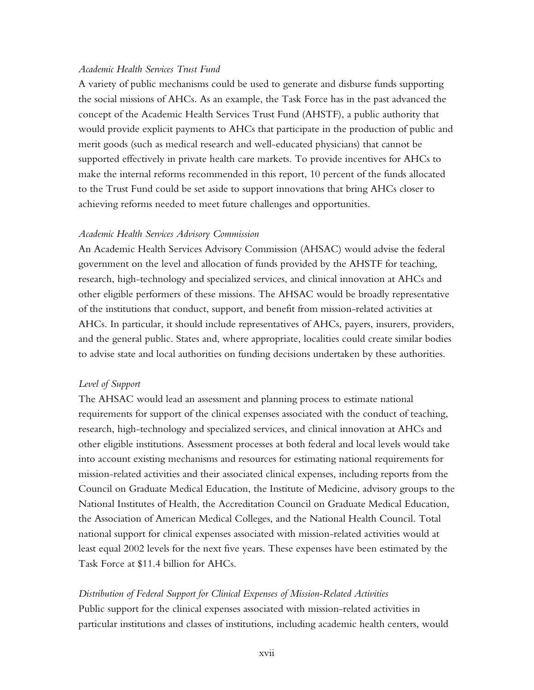## *Academic Health Services Trust Fund*

A variety of public mechanisms could be used to generate and disburse funds supporting the social missions of AHCs. As an example, the Task Force has in the past advanced the concept of the Academic Health Services Trust Fund (AHSTF), a public authority that would provide explicit payments to AHCs that participate in the production of public and merit goods (such as medical research and well-educated physicians) that cannot be supported effectively in private health care markets. To provide incentives for AHCs to make the internal reforms recommended in this report, 10 percent of the funds allocated to the Trust Fund could be set aside to support innovations that bring AHCs closer to achieving reforms needed to meet future challenges and opportunities.

## *Academic Health Services Advisory Commission*

An Academic Health Services Advisory Commission (AHSAC) would advise the federal government on the level and allocation of funds provided by the AHSTF for teaching, research, high-technology and specialized services, and clinical innovation at AHCs and other eligible performers of these missions. The AHSAC would be broadly representative of the institutions that conduct, support, and benefit from mission-related activities at AHCs. In particular, it should include representatives of AHCs, payers, insurers, providers, and the general public. States and, where appropriate, localities could create similar bodies to advise state and local authorities on funding decisions undertaken by these authorities.

## *Level of Support*

The AHSAC would lead an assessment and planning process to estimate national requirements for support of the clinical expenses associated with the conduct of teaching, research, high-technology and specialized services, and clinical innovation at AHCs and other eligible institutions. Assessment processes at both federal and local levels would take into account existing mechanisms and resources for estimating national requirements for mission-related activities and their associated clinical expenses, including reports from the Council on Graduate Medical Education, the Institute of Medicine, advisory groups to the National Institutes of Health, the Accreditation Council on Graduate Medical Education, the Association of American Medical Colleges, and the National Health Council. Total national support for clinical expenses associated with mission-related activities would at least equal 2002 levels for the next five years. These expenses have been estimated by the Task Force at \$11.4 billion for AHCs.

## *Distribution of Federal Support for Clinical Expenses of Mission-Related Activities*

Public support for the clinical expenses associated with mission-related activities in particular institutions and classes of institutions, including academic health centers, would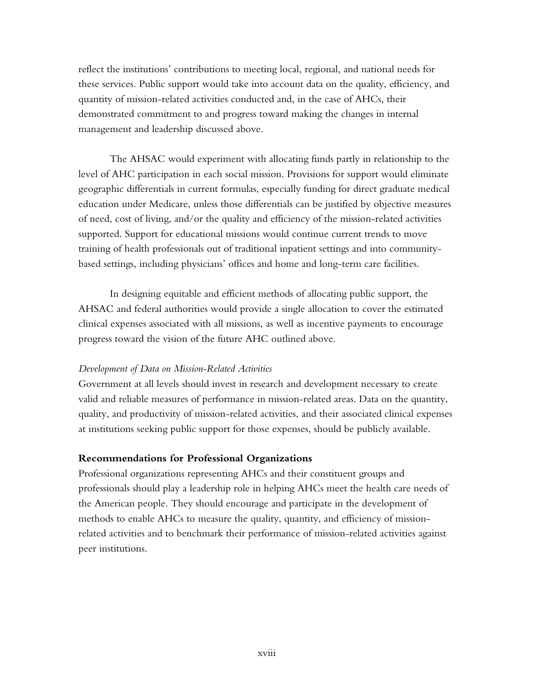reflect the institutions' contributions to meeting local, regional, and national needs for these services. Public support would take into account data on the quality, efficiency, and quantity of mission-related activities conducted and, in the case of AHCs, their demonstrated commitment to and progress toward making the changes in internal management and leadership discussed above.

The AHSAC would experiment with allocating funds partly in relationship to the level of AHC participation in each social mission. Provisions for support would eliminate geographic differentials in current formulas, especially funding for direct graduate medical education under Medicare, unless those differentials can be justified by objective measures of need, cost of living, and/or the quality and efficiency of the mission-related activities supported. Support for educational missions would continue current trends to move training of health professionals out of traditional inpatient settings and into communitybased settings, including physicians' offices and home and long-term care facilities.

In designing equitable and efficient methods of allocating public support, the AHSAC and federal authorities would provide a single allocation to cover the estimated clinical expenses associated with all missions, as well as incentive payments to encourage progress toward the vision of the future AHC outlined above.

## *Development of Data on Mission-Related Activities*

Government at all levels should invest in research and development necessary to create valid and reliable measures of performance in mission-related areas. Data on the quantity, quality, and productivity of mission-related activities, and their associated clinical expenses at institutions seeking public support for those expenses, should be publicly available.

## **Recommendations for Professional Organizations**

Professional organizations representing AHCs and their constituent groups and professionals should play a leadership role in helping AHCs meet the health care needs of the American people. They should encourage and participate in the development of methods to enable AHCs to measure the quality, quantity, and efficiency of missionrelated activities and to benchmark their performance of mission-related activities against peer institutions.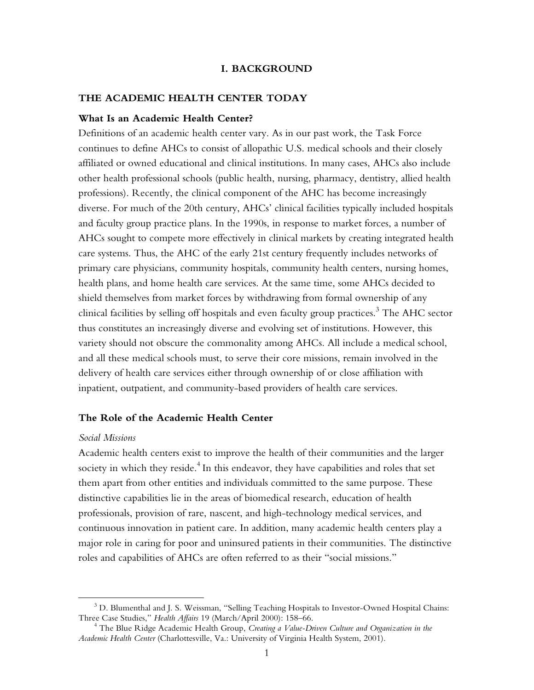#### **I. BACKGROUND**

## **THE ACADEMIC HEALTH CENTER TODAY**

#### **What Is an Academic Health Center?**

Definitions of an academic health center vary. As in our past work, the Task Force continues to define AHCs to consist of allopathic U.S. medical schools and their closely affiliated or owned educational and clinical institutions. In many cases, AHCs also include other health professional schools (public health, nursing, pharmacy, dentistry, allied health professions). Recently, the clinical component of the AHC has become increasingly diverse. For much of the 20th century, AHCs' clinical facilities typically included hospitals and faculty group practice plans. In the 1990s, in response to market forces, a number of AHCs sought to compete more effectively in clinical markets by creating integrated health care systems. Thus, the AHC of the early 21st century frequently includes networks of primary care physicians, community hospitals, community health centers, nursing homes, health plans, and home health care services. At the same time, some AHCs decided to shield themselves from market forces by withdrawing from formal ownership of any clinical facilities by selling off hospitals and even faculty group practices. $^3$  The AHC sector thus constitutes an increasingly diverse and evolving set of institutions. However, this variety should not obscure the commonality among AHCs. All include a medical school, and all these medical schools must, to serve their core missions, remain involved in the delivery of health care services either through ownership of or close affiliation with inpatient, outpatient, and community-based providers of health care services.

## **The Role of the Academic Health Center**

#### *Social Missions*

 $\overline{a}$ 

Academic health centers exist to improve the health of their communities and the larger society in which they reside.<sup>4</sup> In this endeavor, they have capabilities and roles that set them apart from other entities and individuals committed to the same purpose. These distinctive capabilities lie in the areas of biomedical research, education of health professionals, provision of rare, nascent, and high-technology medical services, and continuous innovation in patient care. In addition, many academic health centers play a major role in caring for poor and uninsured patients in their communities. The distinctive roles and capabilities of AHCs are often referred to as their "social missions."

 $^3$  D. Blumenthal and J. S. Weissman, "Selling Teaching Hospitals to Investor-Owned Hospital Chains: Three Case Studies," *Health Affairs* 19 (March/April 2000): 158–66. 4

The Blue Ridge Academic Health Group, *Creating a Value-Driven Culture and Organization in the Academic Health Center* (Charlottesville, Va.: University of Virginia Health System, 2001).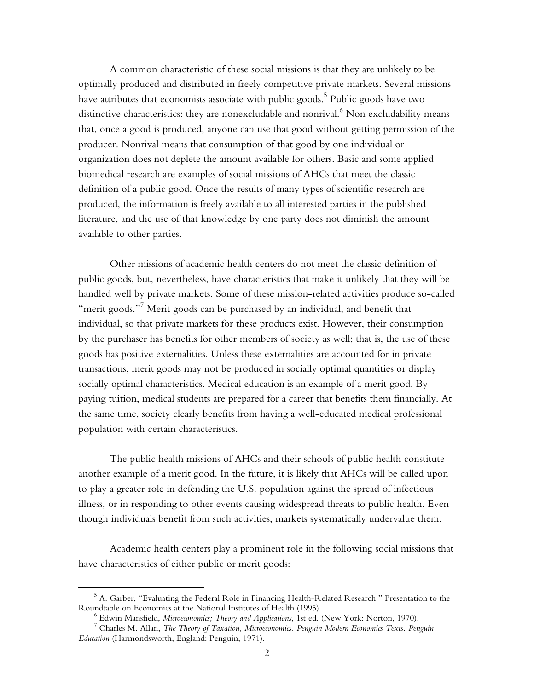A common characteristic of these social missions is that they are unlikely to be optimally produced and distributed in freely competitive private markets. Several missions have attributes that economists associate with public goods. $^5$  Public goods have two distinctive characteristics: they are nonexcludable and nonrival. $^6$  Non excludability means that, once a good is produced, anyone can use that good without getting permission of the producer. Nonrival means that consumption of that good by one individual or organization does not deplete the amount available for others. Basic and some applied biomedical research are examples of social missions of AHCs that meet the classic definition of a public good. Once the results of many types of scientific research are produced, the information is freely available to all interested parties in the published literature, and the use of that knowledge by one party does not diminish the amount available to other parties.

Other missions of academic health centers do not meet the classic definition of public goods, but, nevertheless, have characteristics that make it unlikely that they will be handled well by private markets. Some of these mission-related activities produce so-called "merit goods." $^7$  Merit goods can be purchased by an individual, and benefit that individual, so that private markets for these products exist. However, their consumption by the purchaser has benefits for other members of society as well; that is, the use of these goods has positive externalities. Unless these externalities are accounted for in private transactions, merit goods may not be produced in socially optimal quantities or display socially optimal characteristics. Medical education is an example of a merit good. By paying tuition, medical students are prepared for a career that benefits them financially. At the same time, society clearly benefits from having a well-educated medical professional population with certain characteristics.

The public health missions of AHCs and their schools of public health constitute another example of a merit good. In the future, it is likely that AHCs will be called upon to play a greater role in defending the U.S. population against the spread of infectious illness, or in responding to other events causing widespread threats to public health. Even though individuals benefit from such activities, markets systematically undervalue them.

Academic health centers play a prominent role in the following social missions that have characteristics of either public or merit goods:

1

 $^5$  A. Garber, "Evaluating the Federal Role in Financing Health-Related Research." Presentation to the Roundtable on Economics at the National Institutes of Health (1995). 6

Edwin Mansfield, *Microeconomics; Theory and Applications*, 1st ed. (New York: Norton, 1970). 7

Charles M. Allan, *The Theory of Taxation, Microeconomics. Penguin Modern Economics Texts. Penguin Education* (Harmondsworth, England: Penguin, 1971).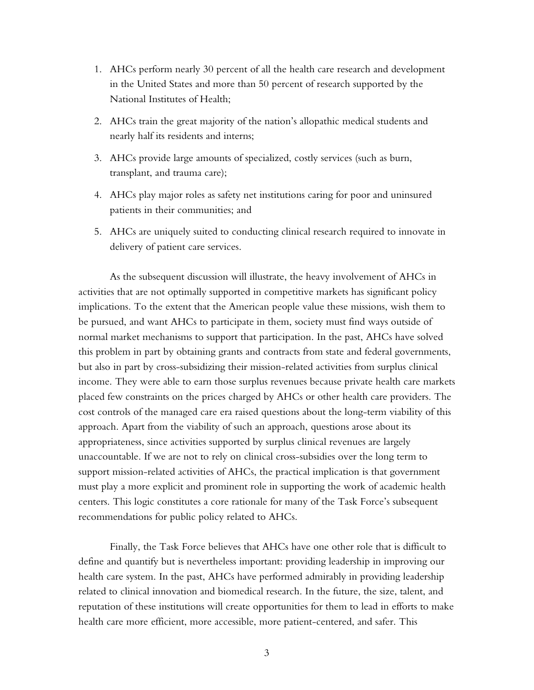- 1. AHCs perform nearly 30 percent of all the health care research and development in the United States and more than 50 percent of research supported by the National Institutes of Health;
- 2. AHCs train the great majority of the nation's allopathic medical students and nearly half its residents and interns;
- 3. AHCs provide large amounts of specialized, costly services (such as burn, transplant, and trauma care);
- 4. AHCs play major roles as safety net institutions caring for poor and uninsured patients in their communities; and
- 5. AHCs are uniquely suited to conducting clinical research required to innovate in delivery of patient care services.

As the subsequent discussion will illustrate, the heavy involvement of AHCs in activities that are not optimally supported in competitive markets has significant policy implications. To the extent that the American people value these missions, wish them to be pursued, and want AHCs to participate in them, society must find ways outside of normal market mechanisms to support that participation. In the past, AHCs have solved this problem in part by obtaining grants and contracts from state and federal governments, but also in part by cross-subsidizing their mission-related activities from surplus clinical income. They were able to earn those surplus revenues because private health care markets placed few constraints on the prices charged by AHCs or other health care providers. The cost controls of the managed care era raised questions about the long-term viability of this approach. Apart from the viability of such an approach, questions arose about its appropriateness, since activities supported by surplus clinical revenues are largely unaccountable. If we are not to rely on clinical cross-subsidies over the long term to support mission-related activities of AHCs, the practical implication is that government must play a more explicit and prominent role in supporting the work of academic health centers. This logic constitutes a core rationale for many of the Task Force's subsequent recommendations for public policy related to AHCs.

Finally, the Task Force believes that AHCs have one other role that is difficult to define and quantify but is nevertheless important: providing leadership in improving our health care system. In the past, AHCs have performed admirably in providing leadership related to clinical innovation and biomedical research. In the future, the size, talent, and reputation of these institutions will create opportunities for them to lead in efforts to make health care more efficient, more accessible, more patient-centered, and safer. This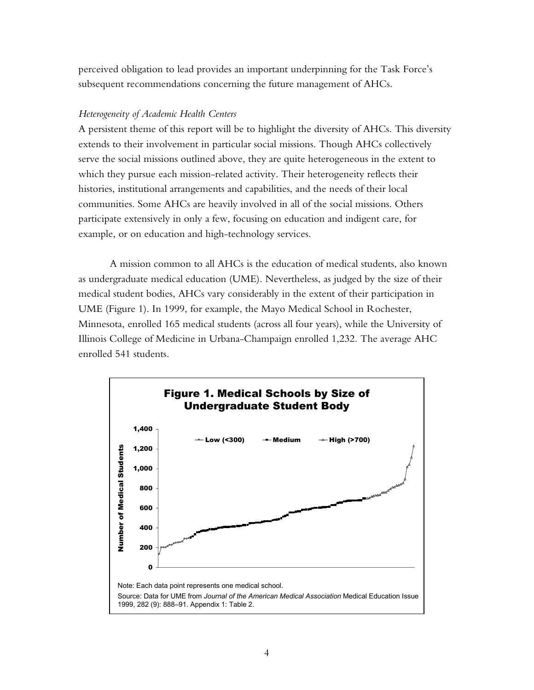perceived obligation to lead provides an important underpinning for the Task Force's subsequent recommendations concerning the future management of AHCs.

## *Heterogeneity of Academic Health Centers*

A persistent theme of this report will be to highlight the diversity of AHCs. This diversity extends to their involvement in particular social missions. Though AHCs collectively serve the social missions outlined above, they are quite heterogeneous in the extent to which they pursue each mission-related activity. Their heterogeneity reflects their histories, institutional arrangements and capabilities, and the needs of their local communities. Some AHCs are heavily involved in all of the social missions. Others participate extensively in only a few, focusing on education and indigent care, for example, or on education and high-technology services.

A mission common to all AHCs is the education of medical students, also known as undergraduate medical education (UME). Nevertheless, as judged by the size of their medical student bodies, AHCs vary considerably in the extent of their participation in UME (Figure 1). In 1999, for example, the Mayo Medical School in Rochester, Minnesota, enrolled 165 medical students (across all four years), while the University of Illinois College of Medicine in Urbana-Champaign enrolled 1,232. The average AHC enrolled 541 students.

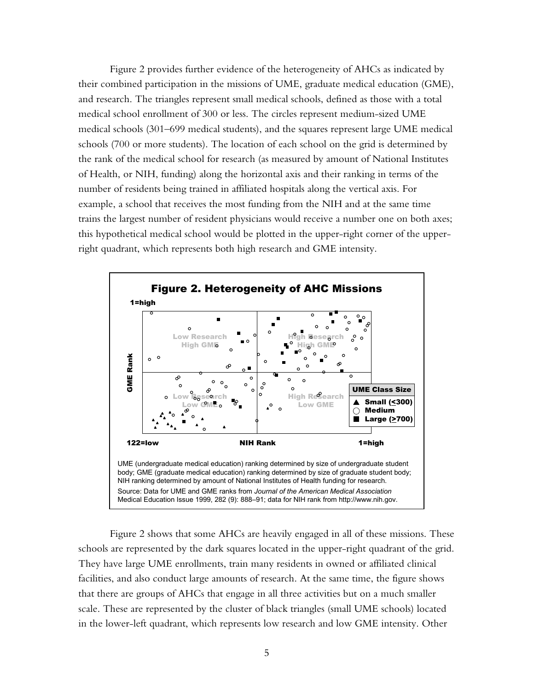Figure 2 provides further evidence of the heterogeneity of AHCs as indicated by their combined participation in the missions of UME, graduate medical education (GME), and research. The triangles represent small medical schools, defined as those with a total medical school enrollment of 300 or less. The circles represent medium-sized UME medical schools (301–699 medical students), and the squares represent large UME medical schools (700 or more students). The location of each school on the grid is determined by the rank of the medical school for research (as measured by amount of National Institutes of Health, or NIH, funding) along the horizontal axis and their ranking in terms of the number of residents being trained in affiliated hospitals along the vertical axis. For example, a school that receives the most funding from the NIH and at the same time trains the largest number of resident physicians would receive a number one on both axes; this hypothetical medical school would be plotted in the upper-right corner of the upperright quadrant, which represents both high research and GME intensity.



Figure 2 shows that some AHCs are heavily engaged in all of these missions. These schools are represented by the dark squares located in the upper-right quadrant of the grid. They have large UME enrollments, train many residents in owned or affiliated clinical facilities, and also conduct large amounts of research. At the same time, the figure shows that there are groups of AHCs that engage in all three activities but on a much smaller scale. These are represented by the cluster of black triangles (small UME schools) located in the lower-left quadrant, which represents low research and low GME intensity. Other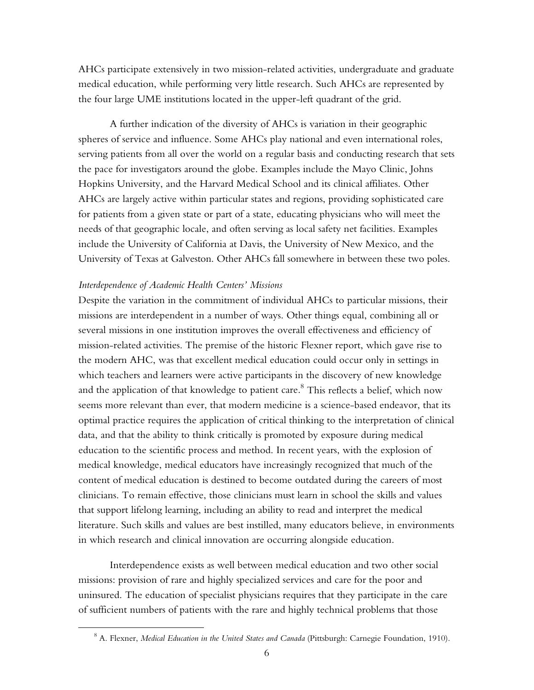AHCs participate extensively in two mission-related activities, undergraduate and graduate medical education, while performing very little research. Such AHCs are represented by the four large UME institutions located in the upper-left quadrant of the grid.

A further indication of the diversity of AHCs is variation in their geographic spheres of service and influence. Some AHCs play national and even international roles, serving patients from all over the world on a regular basis and conducting research that sets the pace for investigators around the globe. Examples include the Mayo Clinic, Johns Hopkins University, and the Harvard Medical School and its clinical affiliates. Other AHCs are largely active within particular states and regions, providing sophisticated care for patients from a given state or part of a state, educating physicians who will meet the needs of that geographic locale, and often serving as local safety net facilities. Examples include the University of California at Davis, the University of New Mexico, and the University of Texas at Galveston. Other AHCs fall somewhere in between these two poles.

#### *Interdependence of Academic Health Centers' Missions*

 $\overline{a}$ 

Despite the variation in the commitment of individual AHCs to particular missions, their missions are interdependent in a number of ways. Other things equal, combining all or several missions in one institution improves the overall effectiveness and efficiency of mission-related activities. The premise of the historic Flexner report, which gave rise to the modern AHC, was that excellent medical education could occur only in settings in which teachers and learners were active participants in the discovery of new knowledge and the application of that knowledge to patient care. $^8$  This reflects a belief, which now seems more relevant than ever, that modern medicine is a science-based endeavor, that its optimal practice requires the application of critical thinking to the interpretation of clinical data, and that the ability to think critically is promoted by exposure during medical education to the scientific process and method. In recent years, with the explosion of medical knowledge, medical educators have increasingly recognized that much of the content of medical education is destined to become outdated during the careers of most clinicians. To remain effective, those clinicians must learn in school the skills and values that support lifelong learning, including an ability to read and interpret the medical literature. Such skills and values are best instilled, many educators believe, in environments in which research and clinical innovation are occurring alongside education.

Interdependence exists as well between medical education and two other social missions: provision of rare and highly specialized services and care for the poor and uninsured. The education of specialist physicians requires that they participate in the care of sufficient numbers of patients with the rare and highly technical problems that those

<sup>8</sup> A. Flexner, *Medical Education in the United States and Canada* (Pittsburgh: Carnegie Foundation, 1910).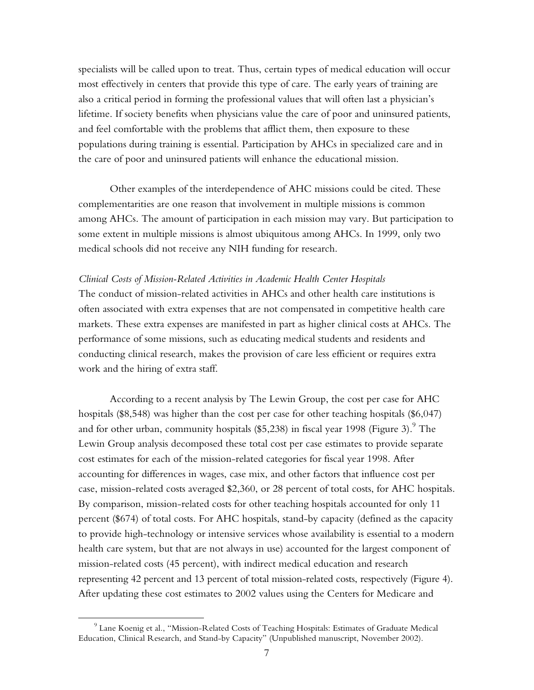specialists will be called upon to treat. Thus, certain types of medical education will occur most effectively in centers that provide this type of care. The early years of training are also a critical period in forming the professional values that will often last a physician's lifetime. If society benefits when physicians value the care of poor and uninsured patients, and feel comfortable with the problems that afflict them, then exposure to these populations during training is essential. Participation by AHCs in specialized care and in the care of poor and uninsured patients will enhance the educational mission.

Other examples of the interdependence of AHC missions could be cited. These complementarities are one reason that involvement in multiple missions is common among AHCs. The amount of participation in each mission may vary. But participation to some extent in multiple missions is almost ubiquitous among AHCs. In 1999, only two medical schools did not receive any NIH funding for research.

## *Clinical Costs of Mission-Related Activities in Academic Health Center Hospitals*

The conduct of mission-related activities in AHCs and other health care institutions is often associated with extra expenses that are not compensated in competitive health care markets. These extra expenses are manifested in part as higher clinical costs at AHCs. The performance of some missions, such as educating medical students and residents and conducting clinical research, makes the provision of care less efficient or requires extra work and the hiring of extra staff.

According to a recent analysis by The Lewin Group, the cost per case for AHC hospitals (\$8,548) was higher than the cost per case for other teaching hospitals (\$6,047) and for other urban, community hospitals (\$5,238) in fiscal year 1998 (Figure 3). $^9$  The Lewin Group analysis decomposed these total cost per case estimates to provide separate cost estimates for each of the mission-related categories for fiscal year 1998. After accounting for differences in wages, case mix, and other factors that influence cost per case, mission-related costs averaged \$2,360, or 28 percent of total costs, for AHC hospitals. By comparison, mission-related costs for other teaching hospitals accounted for only 11 percent (\$674) of total costs. For AHC hospitals, stand-by capacity (defined as the capacity to provide high-technology or intensive services whose availability is essential to a modern health care system, but that are not always in use) accounted for the largest component of mission-related costs (45 percent), with indirect medical education and research representing 42 percent and 13 percent of total mission-related costs, respectively (Figure 4). After updating these cost estimates to 2002 values using the Centers for Medicare and

 $\overline{a}$ 

 $^9$  Lane Koenig et al., "Mission-Related Costs of Teaching Hospitals: Estimates of Graduate Medical Education, Clinical Research, and Stand-by Capacity" (Unpublished manuscript, November 2002).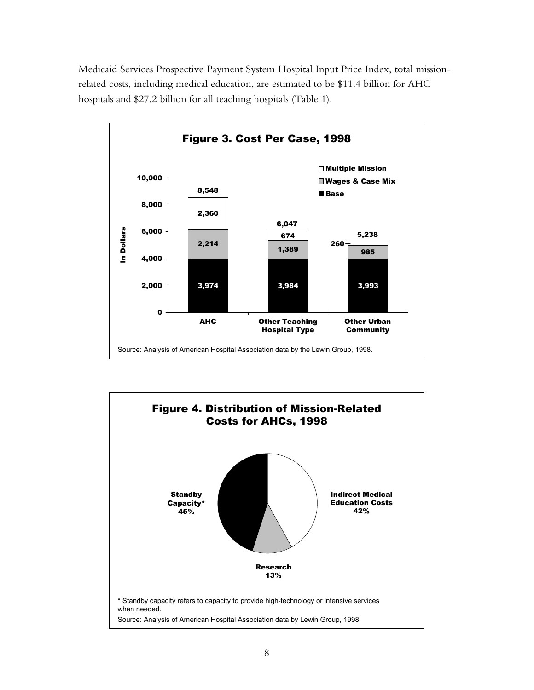Medicaid Services Prospective Payment System Hospital Input Price Index, total missionrelated costs, including medical education, are estimated to be \$11.4 billion for AHC hospitals and \$27.2 billion for all teaching hospitals (Table 1).



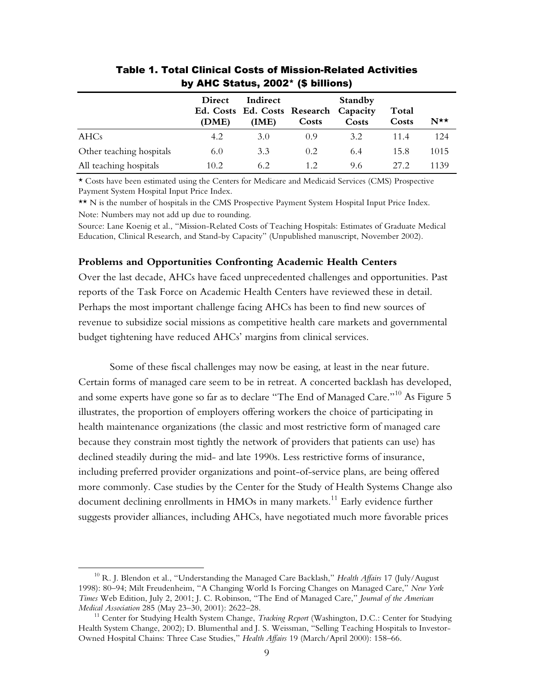|                          | <b>Direct</b><br>(DME) | Indirect<br>Ed. Costs Ed. Costs Research Capacity<br>(IME) | Costs | <b>Standby</b><br>Costs | Total<br>Costs | $N^{\star\star}$ |
|--------------------------|------------------------|------------------------------------------------------------|-------|-------------------------|----------------|------------------|
| AHCs                     | 4.2                    | 3.0                                                        | 0.9   | 3.2                     | 11.4           | 124              |
| Other teaching hospitals | 6.0                    | 3.3                                                        | 0.2   | 6.4                     | 15.8           | 1015             |
| All teaching hospitals   | 10.2                   | 6.2                                                        | 12    | 9.6                     | 27.2           | 1139             |

Table 1. Total Clinical Costs of Mission-Related Activities by AHC Status, 2002\* (\$ billions)

\* Costs have been estimated using the Centers for Medicare and Medicaid Services (CMS) Prospective Payment System Hospital Input Price Index.

\*\* N is the number of hospitals in the CMS Prospective Payment System Hospital Input Price Index. Note: Numbers may not add up due to rounding.

Source: Lane Koenig et al., "Mission-Related Costs of Teaching Hospitals: Estimates of Graduate Medical Education, Clinical Research, and Stand-by Capacity" (Unpublished manuscript, November 2002).

#### **Problems and Opportunities Confronting Academic Health Centers**

Over the last decade, AHCs have faced unprecedented challenges and opportunities. Past reports of the Task Force on Academic Health Centers have reviewed these in detail. Perhaps the most important challenge facing AHCs has been to find new sources of revenue to subsidize social missions as competitive health care markets and governmental budget tightening have reduced AHCs' margins from clinical services.

Some of these fiscal challenges may now be easing, at least in the near future. Certain forms of managed care seem to be in retreat. A concerted backlash has developed, and some experts have gone so far as to declare "The End of Managed Care."  $^{10}$  As Figure 5 illustrates, the proportion of employers offering workers the choice of participating in health maintenance organizations (the classic and most restrictive form of managed care because they constrain most tightly the network of providers that patients can use) has declined steadily during the mid- and late 1990s. Less restrictive forms of insurance, including preferred provider organizations and point-of-service plans, are being offered more commonly. Case studies by the Center for the Study of Health Systems Change also document declining enrollments in  $HMOs$  in many markets.<sup>11</sup> Early evidence further suggests provider alliances, including AHCs, have negotiated much more favorable prices

1

<sup>10</sup> R. J. Blendon et al., "Understanding the Managed Care Backlash," *Health Affairs* 17 (July/August 1998): 80–94; Milt Freudenheim, "A Changing World Is Forcing Changes on Managed Care," *New York Times* Web Edition, July 2, 2001; J. C. Robinson, "The End of Managed Care," *Journal of the American* 

<sup>&</sup>lt;sup>11</sup> Center for Studying Health System Change, *Tracking Report* (Washington, D.C.: Center for Studying Health System Change, 2002); D. Blumenthal and J. S. Weissman, "Selling Teaching Hospitals to Investor-Owned Hospital Chains: Three Case Studies," *Health Affairs* 19 (March/April 2000): 158–66.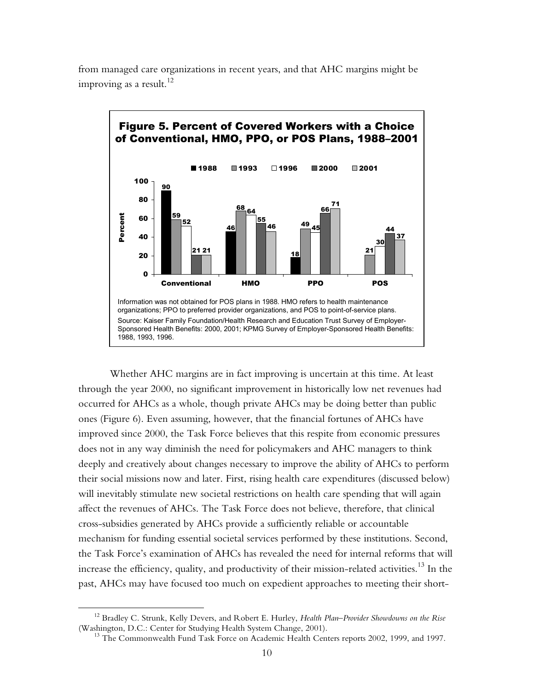

from managed care organizations in recent years, and that AHC margins might be improving as a result.<sup>12</sup>

Whether AHC margins are in fact improving is uncertain at this time. At least through the year 2000, no significant improvement in historically low net revenues had occurred for AHCs as a whole, though private AHCs may be doing better than public ones (Figure 6). Even assuming, however, that the financial fortunes of AHCs have improved since 2000, the Task Force believes that this respite from economic pressures does not in any way diminish the need for policymakers and AHC managers to think deeply and creatively about changes necessary to improve the ability of AHCs to perform their social missions now and later. First, rising health care expenditures (discussed below) will inevitably stimulate new societal restrictions on health care spending that will again affect the revenues of AHCs. The Task Force does not believe, therefore, that clinical cross-subsidies generated by AHCs provide a sufficiently reliable or accountable mechanism for funding essential societal services performed by these institutions. Second, the Task Force's examination of AHCs has revealed the need for internal reforms that will increase the efficiency, quality, and productivity of their mission-related activities.<sup>13</sup> In the past, AHCs may have focused too much on expedient approaches to meeting their short-

 $\overline{a}$ 

<sup>12</sup> Bradley C. Strunk, Kelly Devers, and Robert E. Hurley, *Health Plan–Provider Showdowns on the Rise* (Washington, D.C.: Center for Studying Health System Change, 2001).<br><sup>13</sup> The Commonwealth Fund Task Force on Academic Health Centers reports 2002, 1999, and 1997.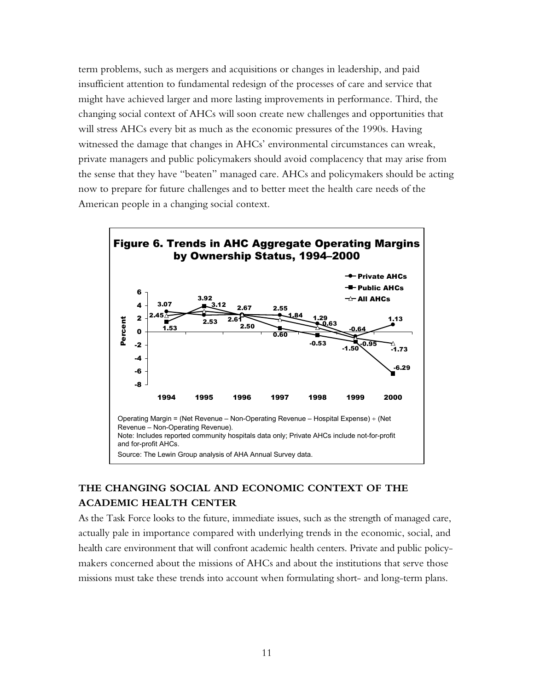term problems, such as mergers and acquisitions or changes in leadership, and paid insufficient attention to fundamental redesign of the processes of care and service that might have achieved larger and more lasting improvements in performance. Third, the changing social context of AHCs will soon create new challenges and opportunities that will stress AHCs every bit as much as the economic pressures of the 1990s. Having witnessed the damage that changes in AHCs' environmental circumstances can wreak, private managers and public policymakers should avoid complacency that may arise from the sense that they have "beaten" managed care. AHCs and policymakers should be acting now to prepare for future challenges and to better meet the health care needs of the American people in a changing social context.



# **THE CHANGING SOCIAL AND ECONOMIC CONTEXT OF THE ACADEMIC HEALTH CENTER**

As the Task Force looks to the future, immediate issues, such as the strength of managed care, actually pale in importance compared with underlying trends in the economic, social, and health care environment that will confront academic health centers. Private and public policymakers concerned about the missions of AHCs and about the institutions that serve those missions must take these trends into account when formulating short- and long-term plans.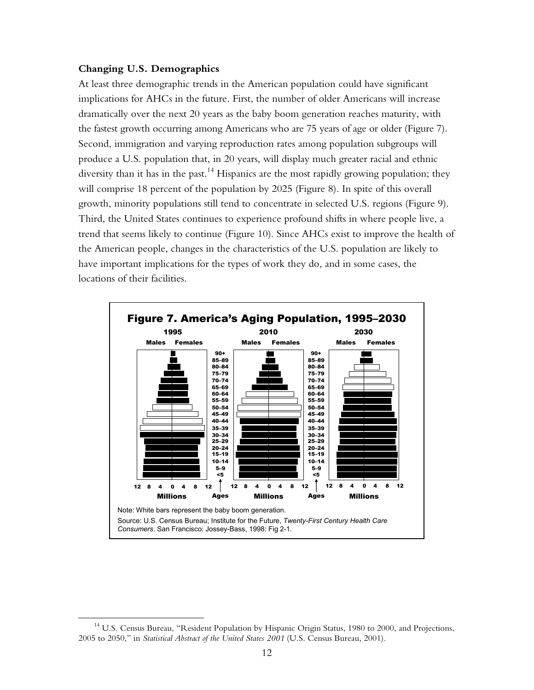## **Changing U.S. Demographics**

<u>.</u>

At least three demographic trends in the American population could have significant implications for AHCs in the future. First, the number of older Americans will increase dramatically over the next 20 years as the baby boom generation reaches maturity, with the fastest growth occurring among Americans who are 75 years of age or older (Figure 7). Second, immigration and varying reproduction rates among population subgroups will produce a U.S. population that, in 20 years, will display much greater racial and ethnic diversity than it has in the past.<sup>14</sup> Hispanics are the most rapidly growing population; they will comprise 18 percent of the population by 2025 (Figure 8). In spite of this overall growth, minority populations still tend to concentrate in selected U.S. regions (Figure 9). Third, the United States continues to experience profound shifts in where people live, a trend that seems likely to continue (Figure 10). Since AHCs exist to improve the health of the American people, changes in the characteristics of the U.S. population are likely to have important implications for the types of work they do, and in some cases, the locations of their facilities.



<sup>&</sup>lt;sup>14</sup> U.S. Census Bureau, "Resident Population by Hispanic Origin Status, 1980 to 2000, and Projections, 2005 to 2050," in *Statistical Abstract of the United States 2001* (U.S. Census Bureau, 2001).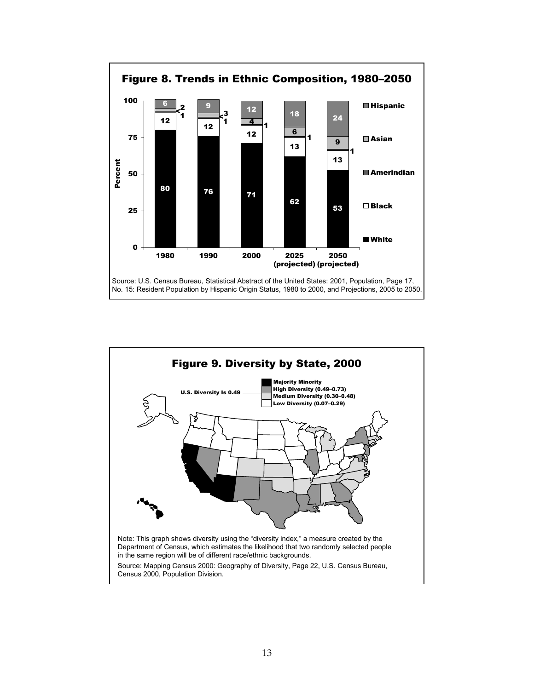

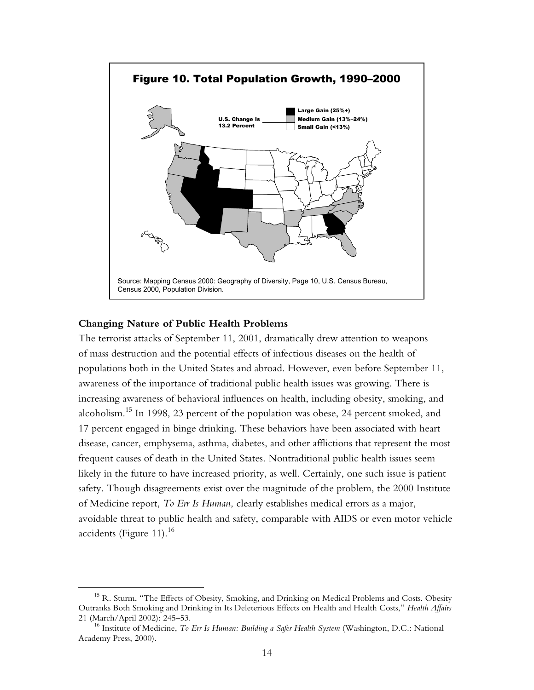

## **Changing Nature of Public Health Problems**

 $\overline{a}$ 

The terrorist attacks of September 11, 2001, dramatically drew attention to weapons of mass destruction and the potential effects of infectious diseases on the health of populations both in the United States and abroad. However, even before September 11, awareness of the importance of traditional public health issues was growing. There is increasing awareness of behavioral influences on health, including obesity, smoking, and alcoholism.15 In 1998, 23 percent of the population was obese, 24 percent smoked, and 17 percent engaged in binge drinking. These behaviors have been associated with heart disease, cancer, emphysema, asthma, diabetes, and other afflictions that represent the most frequent causes of death in the United States. Nontraditional public health issues seem likely in the future to have increased priority, as well. Certainly, one such issue is patient safety. Though disagreements exist over the magnitude of the problem, the 2000 Institute of Medicine report, *To Err Is Human,* clearly establishes medical errors as a major, avoidable threat to public health and safety, comparable with AIDS or even motor vehicle accidents (Figure 11). $^{16}$ 

<sup>&</sup>lt;sup>15</sup> R. Sturm, "The Effects of Obesity, Smoking, and Drinking on Medical Problems and Costs. Obesity Outranks Both Smoking and Drinking in Its Deleterious Effects on Health and Health Costs," *Health Affairs* 21 (March/April 2002): 245–53. 16 Institute of Medicine, *To Err Is Human: Building a Safer Health System* (Washington, D.C.: National

Academy Press, 2000).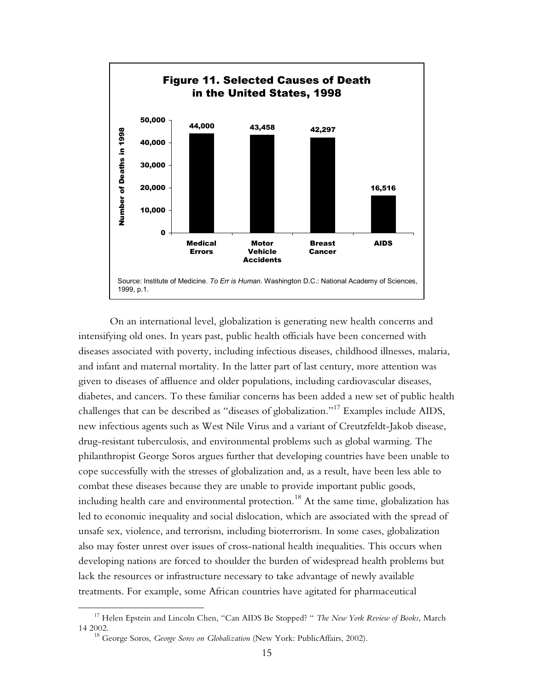

On an international level, globalization is generating new health concerns and intensifying old ones. In years past, public health officials have been concerned with diseases associated with poverty, including infectious diseases, childhood illnesses, malaria, and infant and maternal mortality. In the latter part of last century, more attention was given to diseases of affluence and older populations, including cardiovascular diseases, diabetes, and cancers. To these familiar concerns has been added a new set of public health challenges that can be described as "diseases of globalization."<sup>17</sup> Examples include AIDS, new infectious agents such as West Nile Virus and a variant of Creutzfeldt-Jakob disease, drug-resistant tuberculosis, and environmental problems such as global warming. The philanthropist George Soros argues further that developing countries have been unable to cope successfully with the stresses of globalization and, as a result, have been less able to combat these diseases because they are unable to provide important public goods, including health care and environmental protection.<sup>18</sup> At the same time, globalization has led to economic inequality and social dislocation, which are associated with the spread of unsafe sex, violence, and terrorism, including bioterrorism. In some cases, globalization also may foster unrest over issues of cross-national health inequalities. This occurs when developing nations are forced to shoulder the burden of widespread health problems but lack the resources or infrastructure necessary to take advantage of newly available treatments. For example, some African countries have agitated for pharmaceutical

 $\overline{a}$ 

<sup>17</sup> Helen Epstein and Lincoln Chen, "Can AIDS Be Stopped? " *The New York Review of Books*, March 14 2002. 18 George Soros, *George Soros on Globalization* (New York: PublicAffairs, 2002).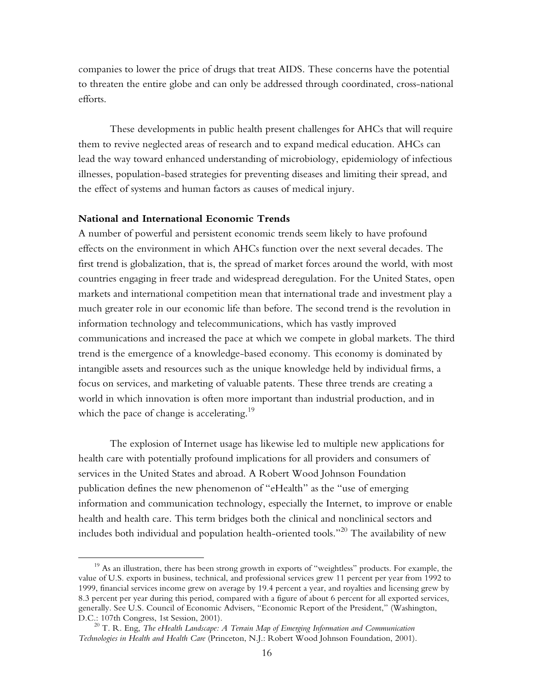companies to lower the price of drugs that treat AIDS. These concerns have the potential to threaten the entire globe and can only be addressed through coordinated, cross-national efforts.

These developments in public health present challenges for AHCs that will require them to revive neglected areas of research and to expand medical education. AHCs can lead the way toward enhanced understanding of microbiology, epidemiology of infectious illnesses, population-based strategies for preventing diseases and limiting their spread, and the effect of systems and human factors as causes of medical injury.

## **National and International Economic Trends**

 $\overline{a}$ 

A number of powerful and persistent economic trends seem likely to have profound effects on the environment in which AHCs function over the next several decades. The first trend is globalization, that is, the spread of market forces around the world, with most countries engaging in freer trade and widespread deregulation. For the United States, open markets and international competition mean that international trade and investment play a much greater role in our economic life than before. The second trend is the revolution in information technology and telecommunications, which has vastly improved communications and increased the pace at which we compete in global markets. The third trend is the emergence of a knowledge-based economy. This economy is dominated by intangible assets and resources such as the unique knowledge held by individual firms, a focus on services, and marketing of valuable patents. These three trends are creating a world in which innovation is often more important than industrial production, and in which the pace of change is accelerating.<sup>19</sup>

The explosion of Internet usage has likewise led to multiple new applications for health care with potentially profound implications for all providers and consumers of services in the United States and abroad. A Robert Wood Johnson Foundation publication defines the new phenomenon of "eHealth" as the "use of emerging information and communication technology, especially the Internet, to improve or enable health and health care. This term bridges both the clinical and nonclinical sectors and includes both individual and population health-oriented tools."<sup>20</sup> The availability of new

<sup>&</sup>lt;sup>19</sup> As an illustration, there has been strong growth in exports of "weightless" products. For example, the value of U.S. exports in business, technical, and professional services grew 11 percent per year from 1992 to 1999, financial services income grew on average by 19.4 percent a year, and royalties and licensing grew by 8.3 percent per year during this period, compared with a figure of about 6 percent for all exported services, generally. See U.S. Council of Economic Advisers, "Economic Report of the President," (Washington, D.C.: 107th Congress, 1st Session, 2001).<br><sup>20</sup> T. R. Eng, *The eHealth Landscape: A Terrain Map of Emerging Information and Communication* 

*Technologies in Health and Health Care* (Princeton, N.J.: Robert Wood Johnson Foundation, 2001).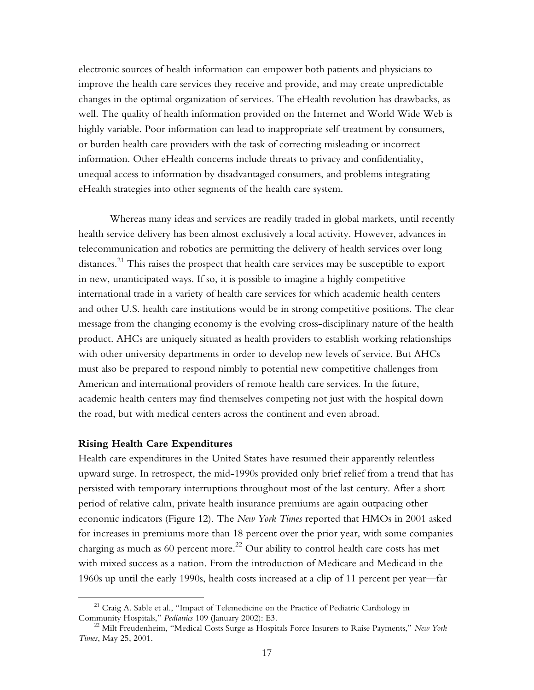electronic sources of health information can empower both patients and physicians to improve the health care services they receive and provide, and may create unpredictable changes in the optimal organization of services. The eHealth revolution has drawbacks, as well. The quality of health information provided on the Internet and World Wide Web is highly variable. Poor information can lead to inappropriate self-treatment by consumers, or burden health care providers with the task of correcting misleading or incorrect information. Other eHealth concerns include threats to privacy and confidentiality, unequal access to information by disadvantaged consumers, and problems integrating eHealth strategies into other segments of the health care system.

Whereas many ideas and services are readily traded in global markets, until recently health service delivery has been almost exclusively a local activity. However, advances in telecommunication and robotics are permitting the delivery of health services over long distances.<sup>21</sup> This raises the prospect that health care services may be susceptible to export in new, unanticipated ways. If so, it is possible to imagine a highly competitive international trade in a variety of health care services for which academic health centers and other U.S. health care institutions would be in strong competitive positions. The clear message from the changing economy is the evolving cross-disciplinary nature of the health product. AHCs are uniquely situated as health providers to establish working relationships with other university departments in order to develop new levels of service. But AHCs must also be prepared to respond nimbly to potential new competitive challenges from American and international providers of remote health care services. In the future, academic health centers may find themselves competing not just with the hospital down the road, but with medical centers across the continent and even abroad.

#### **Rising Health Care Expenditures**

 $\overline{a}$ 

Health care expenditures in the United States have resumed their apparently relentless upward surge. In retrospect, the mid-1990s provided only brief relief from a trend that has persisted with temporary interruptions throughout most of the last century. After a short period of relative calm, private health insurance premiums are again outpacing other economic indicators (Figure 12). The *New York Times* reported that HMOs in 2001 asked for increases in premiums more than 18 percent over the prior year, with some companies charging as much as 60 percent more.<sup>22</sup> Our ability to control health care costs has met with mixed success as a nation. From the introduction of Medicare and Medicaid in the 1960s up until the early 1990s, health costs increased at a clip of 11 percent per year—far

<sup>&</sup>lt;sup>21</sup> Craig A. Sable et al., "Impact of Telemedicine on the Practice of Pediatric Cardiology in Community Hospitals," *Pediatrics* 109 (January 2002): E3.

<sup>&</sup>lt;sup>22</sup> Milt Freudenheim, "Medical Costs Surge as Hospitals Force Insurers to Raise Payments," *New York Times*, May 25, 2001.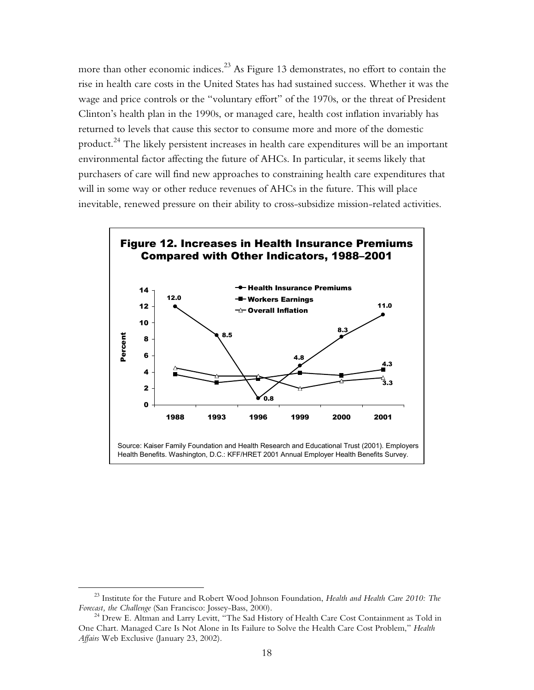more than other economic indices.<sup>23</sup> As Figure 13 demonstrates, no effort to contain the rise in health care costs in the United States has had sustained success. Whether it was the wage and price controls or the "voluntary effort" of the 1970s, or the threat of President Clinton's health plan in the 1990s, or managed care, health cost inflation invariably has returned to levels that cause this sector to consume more and more of the domestic product.<sup>24</sup> The likely persistent increases in health care expenditures will be an important environmental factor affecting the future of AHCs. In particular, it seems likely that purchasers of care will find new approaches to constraining health care expenditures that will in some way or other reduce revenues of AHCs in the future. This will place inevitable, renewed pressure on their ability to cross-subsidize mission-related activities.



1

<sup>&</sup>lt;sup>23</sup> Institute for the Future and Robert Wood Johnson Foundation, *Health and Health Care 2010: The Forecast, the Challenge* (San Francisco: Jossey-Bass, 2000).

<sup>&</sup>lt;sup>24</sup> Drew E. Altman and Larry Levitt, "The Sad History of Health Care Cost Containment as Told in One Chart. Managed Care Is Not Alone in Its Failure to Solve the Health Care Cost Problem," *Health Affairs* Web Exclusive (January 23, 2002).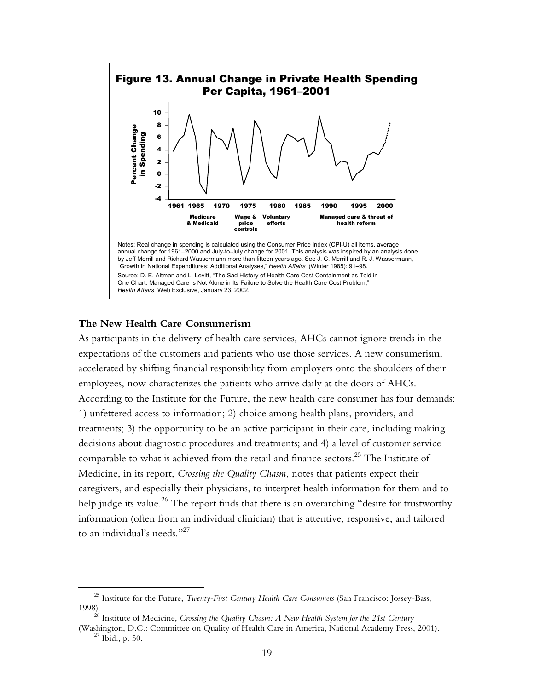

### **The New Health Care Consumerism**

1

As participants in the delivery of health care services, AHCs cannot ignore trends in the expectations of the customers and patients who use those services. A new consumerism, accelerated by shifting financial responsibility from employers onto the shoulders of their employees, now characterizes the patients who arrive daily at the doors of AHCs. According to the Institute for the Future, the new health care consumer has four demands: 1) unfettered access to information; 2) choice among health plans, providers, and treatments; 3) the opportunity to be an active participant in their care, including making decisions about diagnostic procedures and treatments; and 4) a level of customer service comparable to what is achieved from the retail and finance sectors.25 The Institute of Medicine, in its report, *Crossing the Quality Chasm,* notes that patients expect their caregivers, and especially their physicians, to interpret health information for them and to help judge its value.<sup>26</sup> The report finds that there is an overarching "desire for trustworthy information (often from an individual clinician) that is attentive, responsive, and tailored to an individual's needs."27

<sup>&</sup>lt;sup>25</sup> Institute for the Future, *Twenty-First Century Health Care Consumers* (San Francisco: Jossey-Bass, 1998).

<sup>&</sup>lt;sup>6</sup> Institute of Medicine, *Crossing the Quality Chasm: A New Health System for the 21st Century* 

<sup>(</sup>Washington, D.C.: Committee on Quality of Health Care in America, National Academy Press, 2001). 27 Ibid., p. 50.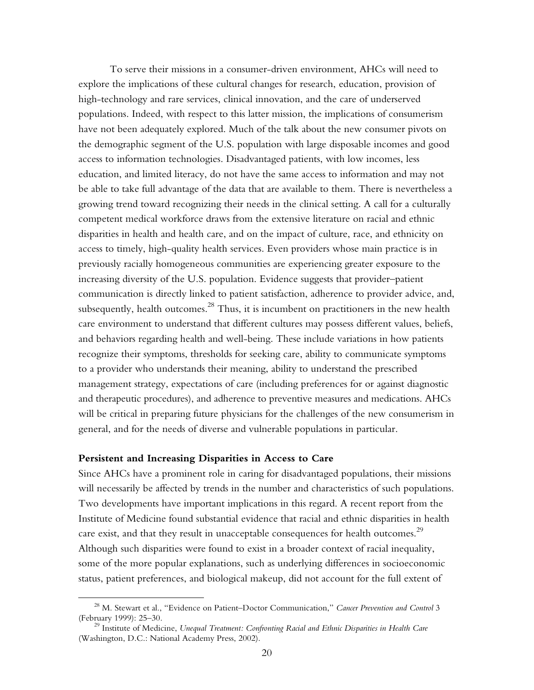To serve their missions in a consumer-driven environment, AHCs will need to explore the implications of these cultural changes for research, education, provision of high-technology and rare services, clinical innovation, and the care of underserved populations. Indeed, with respect to this latter mission, the implications of consumerism have not been adequately explored. Much of the talk about the new consumer pivots on the demographic segment of the U.S. population with large disposable incomes and good access to information technologies. Disadvantaged patients, with low incomes, less education, and limited literacy, do not have the same access to information and may not be able to take full advantage of the data that are available to them. There is nevertheless a growing trend toward recognizing their needs in the clinical setting. A call for a culturally competent medical workforce draws from the extensive literature on racial and ethnic disparities in health and health care, and on the impact of culture, race, and ethnicity on access to timely, high-quality health services. Even providers whose main practice is in previously racially homogeneous communities are experiencing greater exposure to the increasing diversity of the U.S. population. Evidence suggests that provider–patient communication is directly linked to patient satisfaction, adherence to provider advice, and, subsequently, health outcomes. $^{28}$  Thus, it is incumbent on practitioners in the new health care environment to understand that different cultures may possess different values, beliefs, and behaviors regarding health and well-being. These include variations in how patients recognize their symptoms, thresholds for seeking care, ability to communicate symptoms to a provider who understands their meaning, ability to understand the prescribed management strategy, expectations of care (including preferences for or against diagnostic and therapeutic procedures), and adherence to preventive measures and medications. AHCs will be critical in preparing future physicians for the challenges of the new consumerism in general, and for the needs of diverse and vulnerable populations in particular.

#### **Persistent and Increasing Disparities in Access to Care**

1

Since AHCs have a prominent role in caring for disadvantaged populations, their missions will necessarily be affected by trends in the number and characteristics of such populations. Two developments have important implications in this regard. A recent report from the Institute of Medicine found substantial evidence that racial and ethnic disparities in health care exist, and that they result in unacceptable consequences for health outcomes.<sup>29</sup> Although such disparities were found to exist in a broader context of racial inequality, some of the more popular explanations, such as underlying differences in socioeconomic status, patient preferences, and biological makeup, did not account for the full extent of

<sup>&</sup>lt;sup>28</sup> M. Stewart et al., "Evidence on Patient–Doctor Communication," *Cancer Prevention and Control* 3 (February 1999): 25–30.

<sup>&</sup>lt;sup>29</sup> Institute of Medicine, *Unequal Treatment: Confronting Racial and Ethnic Disparities in Health Care* (Washington, D.C.: National Academy Press, 2002).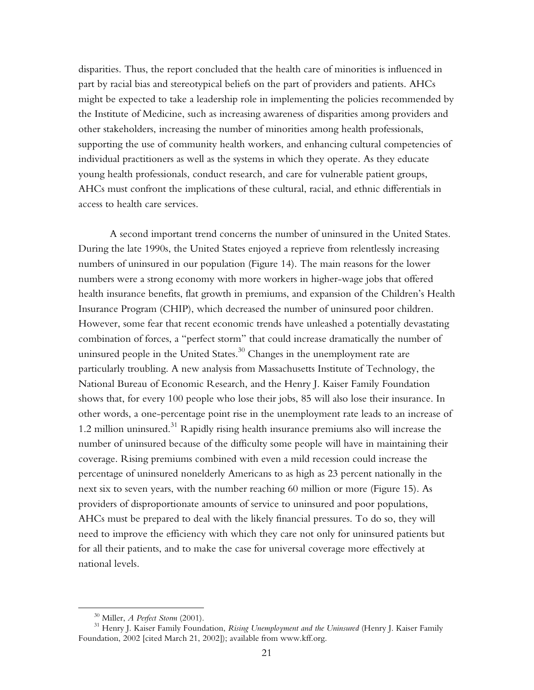disparities. Thus, the report concluded that the health care of minorities is influenced in part by racial bias and stereotypical beliefs on the part of providers and patients. AHCs might be expected to take a leadership role in implementing the policies recommended by the Institute of Medicine, such as increasing awareness of disparities among providers and other stakeholders, increasing the number of minorities among health professionals, supporting the use of community health workers, and enhancing cultural competencies of individual practitioners as well as the systems in which they operate. As they educate young health professionals, conduct research, and care for vulnerable patient groups, AHCs must confront the implications of these cultural, racial, and ethnic differentials in access to health care services.

A second important trend concerns the number of uninsured in the United States. During the late 1990s, the United States enjoyed a reprieve from relentlessly increasing numbers of uninsured in our population (Figure 14). The main reasons for the lower numbers were a strong economy with more workers in higher-wage jobs that offered health insurance benefits, flat growth in premiums, and expansion of the Children's Health Insurance Program (CHIP), which decreased the number of uninsured poor children. However, some fear that recent economic trends have unleashed a potentially devastating combination of forces, a "perfect storm" that could increase dramatically the number of uninsured people in the United States.<sup>30</sup> Changes in the unemployment rate are particularly troubling. A new analysis from Massachusetts Institute of Technology, the National Bureau of Economic Research, and the Henry J. Kaiser Family Foundation shows that, for every 100 people who lose their jobs, 85 will also lose their insurance. In other words, a one-percentage point rise in the unemployment rate leads to an increase of 1.2 million uninsured.<sup>31</sup> Rapidly rising health insurance premiums also will increase the number of uninsured because of the difficulty some people will have in maintaining their coverage. Rising premiums combined with even a mild recession could increase the percentage of uninsured nonelderly Americans to as high as 23 percent nationally in the next six to seven years, with the number reaching 60 million or more (Figure 15). As providers of disproportionate amounts of service to uninsured and poor populations, AHCs must be prepared to deal with the likely financial pressures. To do so, they will need to improve the efficiency with which they care not only for uninsured patients but for all their patients, and to make the case for universal coverage more effectively at national levels.

 $\overline{a}$ 

<sup>&</sup>lt;sup>30</sup> Miller, *A Perfect Storm* (2001).<br><sup>31</sup> Henry J. Kaiser Family Foundation, *Rising Unemployment and the Uninsured* (Henry J. Kaiser Family Foundation, 2002 [cited March 21, 2002]); available from www.kff.org.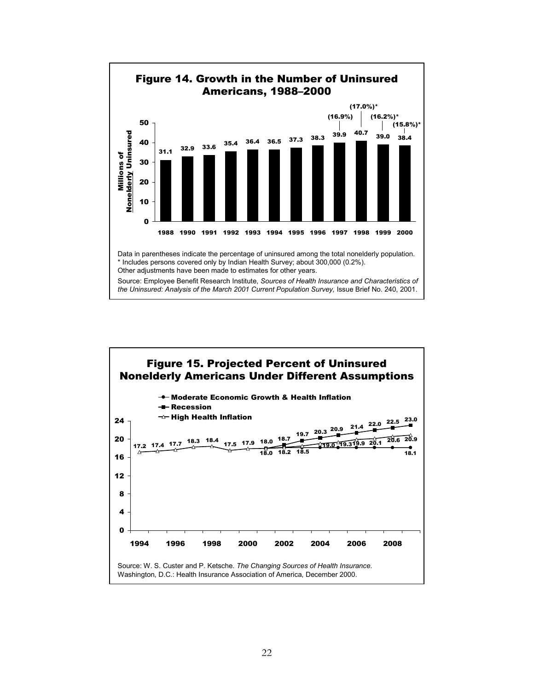

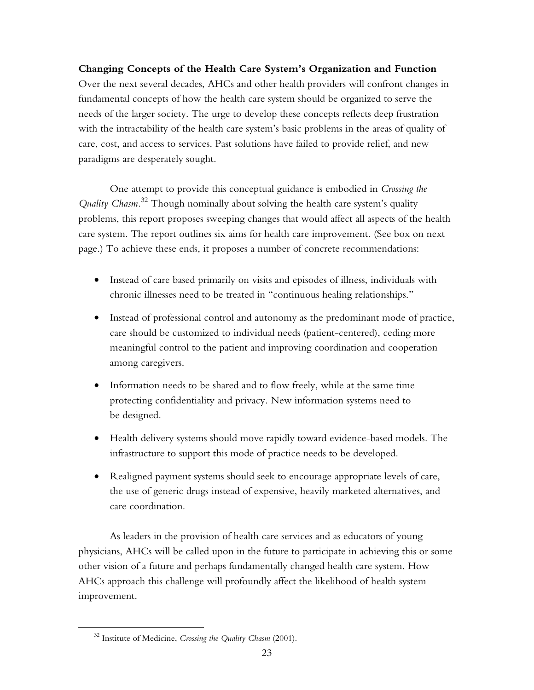**Changing Concepts of the Health Care System's Organization and Function**  Over the next several decades, AHCs and other health providers will confront changes in fundamental concepts of how the health care system should be organized to serve the needs of the larger society. The urge to develop these concepts reflects deep frustration with the intractability of the health care system's basic problems in the areas of quality of care, cost, and access to services. Past solutions have failed to provide relief, and new paradigms are desperately sought.

One attempt to provide this conceptual guidance is embodied in *Crossing the Quality Chasm.*<sup>32</sup> Though nominally about solving the health care system's quality problems, this report proposes sweeping changes that would affect all aspects of the health care system. The report outlines six aims for health care improvement. (See box on next page.) To achieve these ends, it proposes a number of concrete recommendations:

- Instead of care based primarily on visits and episodes of illness, individuals with chronic illnesses need to be treated in "continuous healing relationships."
- Instead of professional control and autonomy as the predominant mode of practice, care should be customized to individual needs (patient-centered), ceding more meaningful control to the patient and improving coordination and cooperation among caregivers.
- Information needs to be shared and to flow freely, while at the same time protecting confidentiality and privacy. New information systems need to be designed.
- Health delivery systems should move rapidly toward evidence-based models. The infrastructure to support this mode of practice needs to be developed.
- Realigned payment systems should seek to encourage appropriate levels of care, the use of generic drugs instead of expensive, heavily marketed alternatives, and care coordination.

As leaders in the provision of health care services and as educators of young physicians, AHCs will be called upon in the future to participate in achieving this or some other vision of a future and perhaps fundamentally changed health care system. How AHCs approach this challenge will profoundly affect the likelihood of health system improvement.

 $\overline{a}$ 

<sup>32</sup> Institute of Medicine, *Crossing the Quality Chasm* (2001).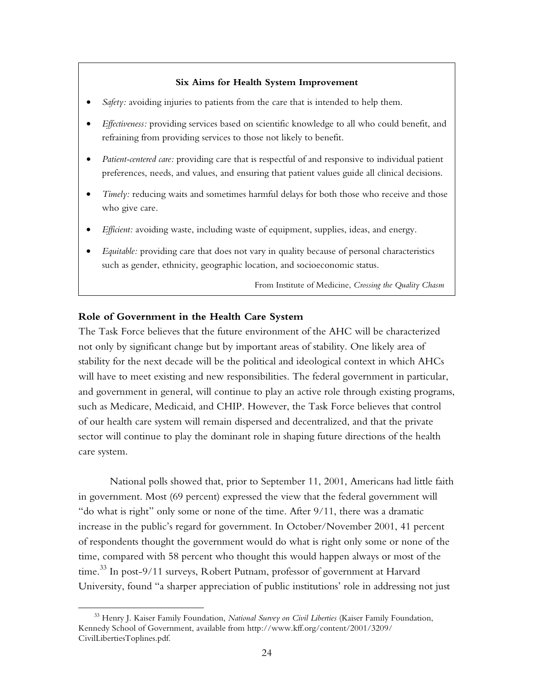#### **Six Aims for Health System Improvement**

- *Safety:* avoiding injuries to patients from the care that is intended to help them.
- *Effectiveness:* providing services based on scientific knowledge to all who could benefit, and refraining from providing services to those not likely to benefit.
- *Patient-centered care:* providing care that is respectful of and responsive to individual patient preferences, needs, and values, and ensuring that patient values guide all clinical decisions.
- *Timely:* reducing waits and sometimes harmful delays for both those who receive and those who give care.
- *Efficient:* avoiding waste, including waste of equipment, supplies, ideas, and energy.
- *Equitable:* providing care that does not vary in quality because of personal characteristics such as gender, ethnicity, geographic location, and socioeconomic status.

From Institute of Medicine, *Crossing the Quality Chasm*

#### **Role of Government in the Health Care System**

1

The Task Force believes that the future environment of the AHC will be characterized not only by significant change but by important areas of stability. One likely area of stability for the next decade will be the political and ideological context in which AHCs will have to meet existing and new responsibilities. The federal government in particular, and government in general, will continue to play an active role through existing programs, such as Medicare, Medicaid, and CHIP. However, the Task Force believes that control of our health care system will remain dispersed and decentralized, and that the private sector will continue to play the dominant role in shaping future directions of the health care system.

National polls showed that, prior to September 11, 2001, Americans had little faith in government. Most (69 percent) expressed the view that the federal government will "do what is right" only some or none of the time. After 9/11, there was a dramatic increase in the public's regard for government. In October/November 2001, 41 percent of respondents thought the government would do what is right only some or none of the time, compared with 58 percent who thought this would happen always or most of the time.<sup>33</sup> In post-9/11 surveys, Robert Putnam, professor of government at Harvard University, found "a sharper appreciation of public institutions' role in addressing not just

<sup>33</sup> Henry J. Kaiser Family Foundation, *National Survey on Civil Liberties* (Kaiser Family Foundation, Kennedy School of Government, available from http://www.kff.org/content/2001/3209/ CivilLibertiesToplines.pdf.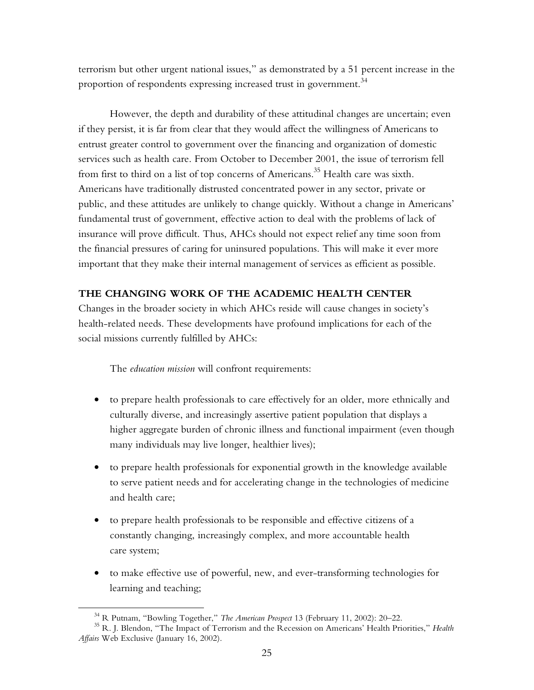terrorism but other urgent national issues," as demonstrated by a 51 percent increase in the proportion of respondents expressing increased trust in government.<sup>34</sup>

However, the depth and durability of these attitudinal changes are uncertain; even if they persist, it is far from clear that they would affect the willingness of Americans to entrust greater control to government over the financing and organization of domestic services such as health care. From October to December 2001, the issue of terrorism fell from first to third on a list of top concerns of Americans.<sup>35</sup> Health care was sixth. Americans have traditionally distrusted concentrated power in any sector, private or public, and these attitudes are unlikely to change quickly. Without a change in Americans' fundamental trust of government, effective action to deal with the problems of lack of insurance will prove difficult. Thus, AHCs should not expect relief any time soon from the financial pressures of caring for uninsured populations. This will make it ever more important that they make their internal management of services as efficient as possible.

## **THE CHANGING WORK OF THE ACADEMIC HEALTH CENTER**

Changes in the broader society in which AHCs reside will cause changes in society's health-related needs. These developments have profound implications for each of the social missions currently fulfilled by AHCs:

The *education mission* will confront requirements:

- to prepare health professionals to care effectively for an older, more ethnically and culturally diverse, and increasingly assertive patient population that displays a higher aggregate burden of chronic illness and functional impairment (even though many individuals may live longer, healthier lives);
- to prepare health professionals for exponential growth in the knowledge available to serve patient needs and for accelerating change in the technologies of medicine and health care;
- to prepare health professionals to be responsible and effective citizens of a constantly changing, increasingly complex, and more accountable health care system;
- to make effective use of powerful, new, and ever-transforming technologies for learning and teaching;

<u>.</u>

<sup>&</sup>lt;sup>34</sup> R Putnam, "Bowling Together," *The American Prospect* 13 (February 11, 2002): 20–22.<br><sup>35</sup> R. J. Blendon, "The Impact of Terrorism and the Recession on Americans' Health Priorities," *Health Affairs* Web Exclusive (January 16, 2002).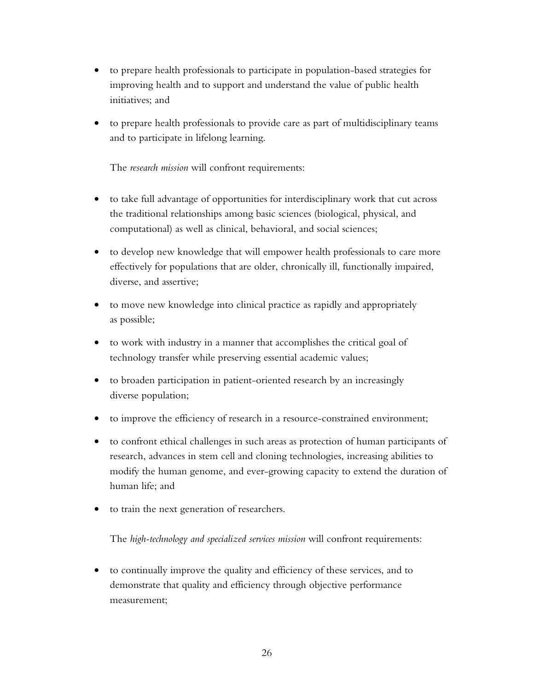- to prepare health professionals to participate in population-based strategies for improving health and to support and understand the value of public health initiatives; and
- to prepare health professionals to provide care as part of multidisciplinary teams and to participate in lifelong learning.

The *research mission* will confront requirements:

- to take full advantage of opportunities for interdisciplinary work that cut across the traditional relationships among basic sciences (biological, physical, and computational) as well as clinical, behavioral, and social sciences;
- to develop new knowledge that will empower health professionals to care more effectively for populations that are older, chronically ill, functionally impaired, diverse, and assertive;
- to move new knowledge into clinical practice as rapidly and appropriately as possible;
- to work with industry in a manner that accomplishes the critical goal of technology transfer while preserving essential academic values;
- to broaden participation in patient-oriented research by an increasingly diverse population;
- to improve the efficiency of research in a resource-constrained environment;
- to confront ethical challenges in such areas as protection of human participants of research, advances in stem cell and cloning technologies, increasing abilities to modify the human genome, and ever-growing capacity to extend the duration of human life; and
- to train the next generation of researchers.

The *high-technology and specialized services mission* will confront requirements:

• to continually improve the quality and efficiency of these services, and to demonstrate that quality and efficiency through objective performance measurement;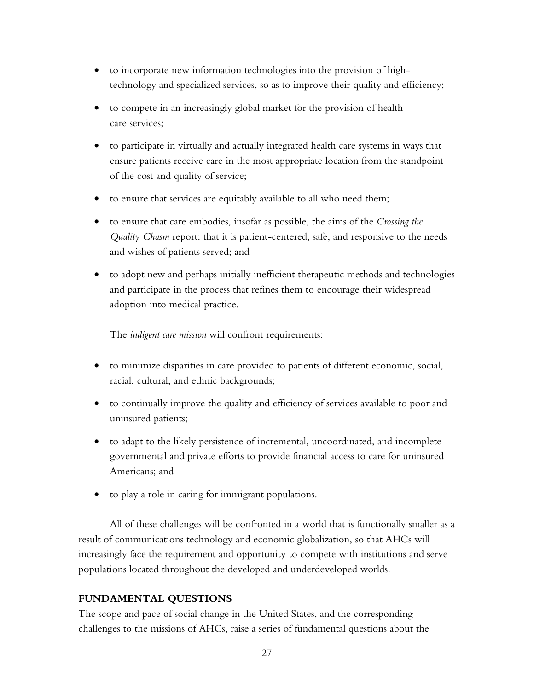- to incorporate new information technologies into the provision of hightechnology and specialized services, so as to improve their quality and efficiency;
- to compete in an increasingly global market for the provision of health care services;
- to participate in virtually and actually integrated health care systems in ways that ensure patients receive care in the most appropriate location from the standpoint of the cost and quality of service;
- to ensure that services are equitably available to all who need them;
- to ensure that care embodies, insofar as possible, the aims of the *Crossing the Quality Chasm* report: that it is patient-centered, safe, and responsive to the needs and wishes of patients served; and
- to adopt new and perhaps initially inefficient therapeutic methods and technologies and participate in the process that refines them to encourage their widespread adoption into medical practice.

The *indigent care mission* will confront requirements:

- to minimize disparities in care provided to patients of different economic, social, racial, cultural, and ethnic backgrounds;
- to continually improve the quality and efficiency of services available to poor and uninsured patients;
- to adapt to the likely persistence of incremental, uncoordinated, and incomplete governmental and private efforts to provide financial access to care for uninsured Americans; and
- to play a role in caring for immigrant populations.

All of these challenges will be confronted in a world that is functionally smaller as a result of communications technology and economic globalization, so that AHCs will increasingly face the requirement and opportunity to compete with institutions and serve populations located throughout the developed and underdeveloped worlds.

# **FUNDAMENTAL QUESTIONS**

The scope and pace of social change in the United States, and the corresponding challenges to the missions of AHCs, raise a series of fundamental questions about the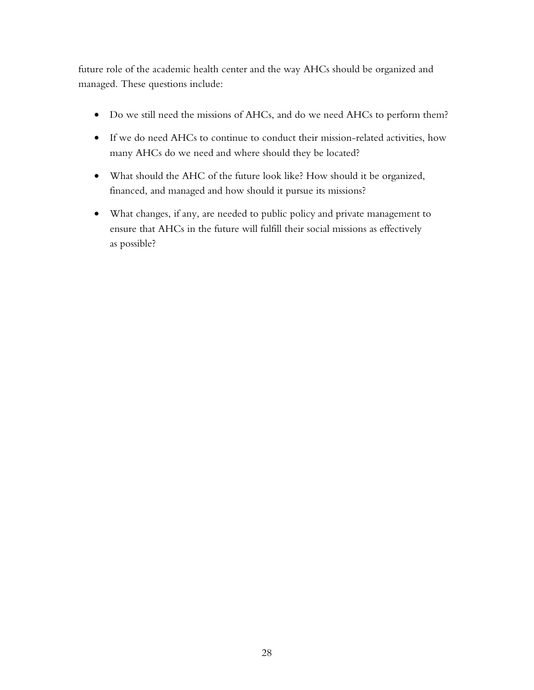future role of the academic health center and the way AHCs should be organized and managed. These questions include:

- Do we still need the missions of AHCs, and do we need AHCs to perform them?
- If we do need AHCs to continue to conduct their mission-related activities, how many AHCs do we need and where should they be located?
- What should the AHC of the future look like? How should it be organized, financed, and managed and how should it pursue its missions?
- What changes, if any, are needed to public policy and private management to ensure that AHCs in the future will fulfill their social missions as effectively as possible?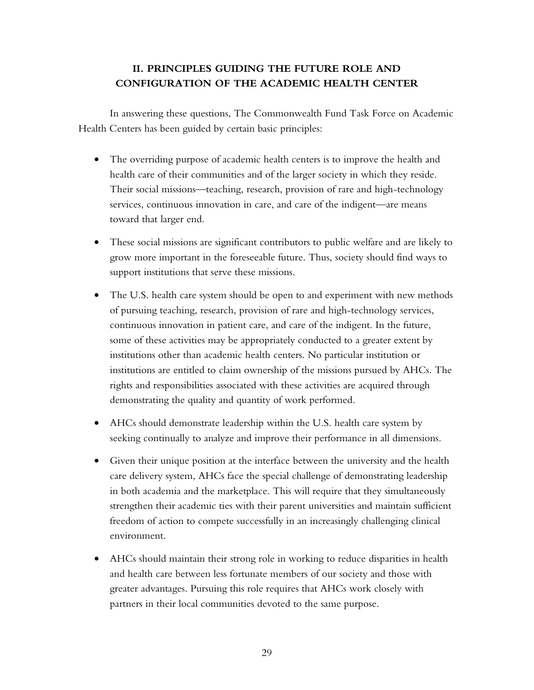# **II. PRINCIPLES GUIDING THE FUTURE ROLE AND CONFIGURATION OF THE ACADEMIC HEALTH CENTER**

In answering these questions, The Commonwealth Fund Task Force on Academic Health Centers has been guided by certain basic principles:

- The overriding purpose of academic health centers is to improve the health and health care of their communities and of the larger society in which they reside. Their social missions—teaching, research, provision of rare and high-technology services, continuous innovation in care, and care of the indigent—are means toward that larger end.
- These social missions are significant contributors to public welfare and are likely to grow more important in the foreseeable future. Thus, society should find ways to support institutions that serve these missions.
- The U.S. health care system should be open to and experiment with new methods of pursuing teaching, research, provision of rare and high-technology services, continuous innovation in patient care, and care of the indigent. In the future, some of these activities may be appropriately conducted to a greater extent by institutions other than academic health centers. No particular institution or institutions are entitled to claim ownership of the missions pursued by AHCs. The rights and responsibilities associated with these activities are acquired through demonstrating the quality and quantity of work performed.
- AHCs should demonstrate leadership within the U.S. health care system by seeking continually to analyze and improve their performance in all dimensions.
- Given their unique position at the interface between the university and the health care delivery system, AHCs face the special challenge of demonstrating leadership in both academia and the marketplace. This will require that they simultaneously strengthen their academic ties with their parent universities and maintain sufficient freedom of action to compete successfully in an increasingly challenging clinical environment.
- AHCs should maintain their strong role in working to reduce disparities in health and health care between less fortunate members of our society and those with greater advantages. Pursuing this role requires that AHCs work closely with partners in their local communities devoted to the same purpose.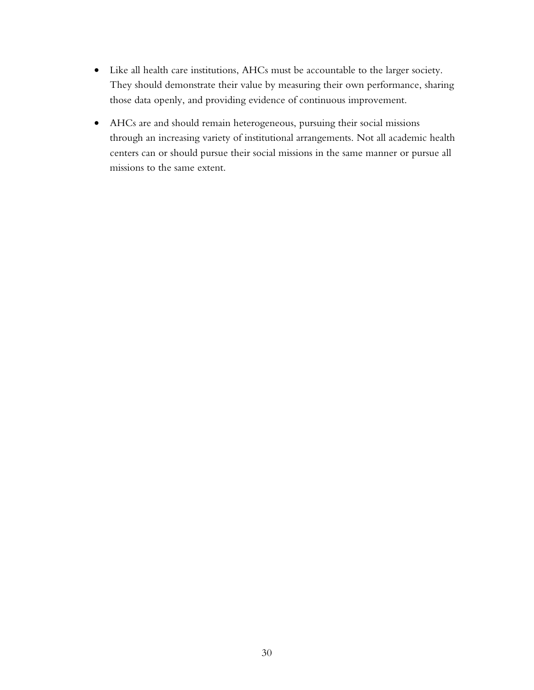- Like all health care institutions, AHCs must be accountable to the larger society. They should demonstrate their value by measuring their own performance, sharing those data openly, and providing evidence of continuous improvement.
- AHCs are and should remain heterogeneous, pursuing their social missions through an increasing variety of institutional arrangements. Not all academic health centers can or should pursue their social missions in the same manner or pursue all missions to the same extent.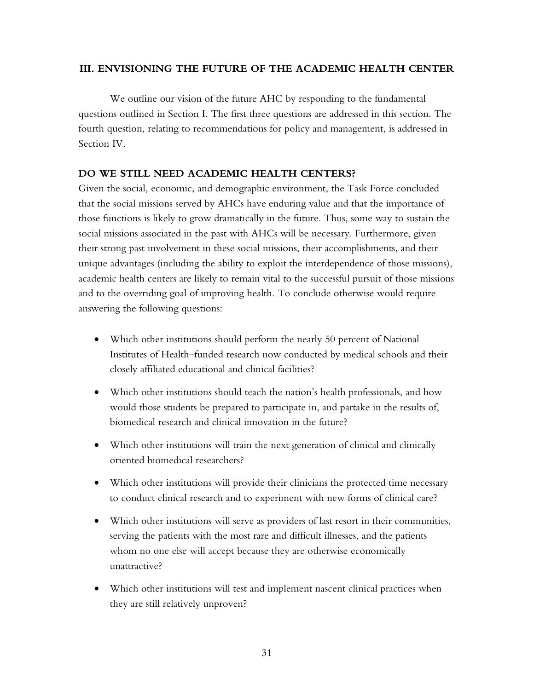### **III. ENVISIONING THE FUTURE OF THE ACADEMIC HEALTH CENTER**

We outline our vision of the future AHC by responding to the fundamental questions outlined in Section I. The first three questions are addressed in this section. The fourth question, relating to recommendations for policy and management, is addressed in Section IV.

## **DO WE STILL NEED ACADEMIC HEALTH CENTERS?**

Given the social, economic, and demographic environment, the Task Force concluded that the social missions served by AHCs have enduring value and that the importance of those functions is likely to grow dramatically in the future. Thus, some way to sustain the social missions associated in the past with AHCs will be necessary. Furthermore, given their strong past involvement in these social missions, their accomplishments, and their unique advantages (including the ability to exploit the interdependence of those missions), academic health centers are likely to remain vital to the successful pursuit of those missions and to the overriding goal of improving health. To conclude otherwise would require answering the following questions:

- Which other institutions should perform the nearly 50 percent of National Institutes of Health–funded research now conducted by medical schools and their closely affiliated educational and clinical facilities?
- Which other institutions should teach the nation's health professionals, and how would those students be prepared to participate in, and partake in the results of, biomedical research and clinical innovation in the future?
- Which other institutions will train the next generation of clinical and clinically oriented biomedical researchers?
- Which other institutions will provide their clinicians the protected time necessary to conduct clinical research and to experiment with new forms of clinical care?
- Which other institutions will serve as providers of last resort in their communities, serving the patients with the most rare and difficult illnesses, and the patients whom no one else will accept because they are otherwise economically unattractive?
- Which other institutions will test and implement nascent clinical practices when they are still relatively unproven?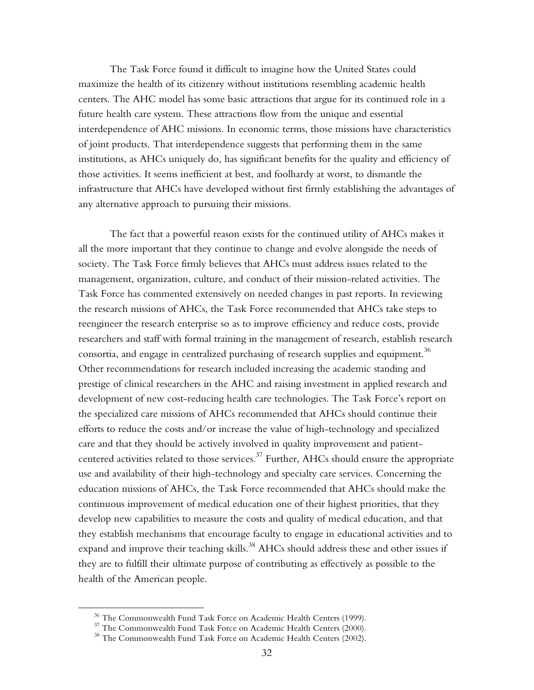The Task Force found it difficult to imagine how the United States could maximize the health of its citizenry without institutions resembling academic health centers. The AHC model has some basic attractions that argue for its continued role in a future health care system. These attractions flow from the unique and essential interdependence of AHC missions. In economic terms, those missions have characteristics of joint products. That interdependence suggests that performing them in the same institutions, as AHCs uniquely do, has significant benefits for the quality and efficiency of those activities. It seems inefficient at best, and foolhardy at worst, to dismantle the infrastructure that AHCs have developed without first firmly establishing the advantages of any alternative approach to pursuing their missions.

The fact that a powerful reason exists for the continued utility of AHCs makes it all the more important that they continue to change and evolve alongside the needs of society. The Task Force firmly believes that AHCs must address issues related to the management, organization, culture, and conduct of their mission-related activities. The Task Force has commented extensively on needed changes in past reports. In reviewing the research missions of AHCs, the Task Force recommended that AHCs take steps to reengineer the research enterprise so as to improve efficiency and reduce costs, provide researchers and staff with formal training in the management of research, establish research consortia, and engage in centralized purchasing of research supplies and equipment.<sup>36</sup> Other recommendations for research included increasing the academic standing and prestige of clinical researchers in the AHC and raising investment in applied research and development of new cost-reducing health care technologies. The Task Force's report on the specialized care missions of AHCs recommended that AHCs should continue their efforts to reduce the costs and/or increase the value of high-technology and specialized care and that they should be actively involved in quality improvement and patientcentered activities related to those services.<sup>37</sup> Further, AHCs should ensure the appropriate use and availability of their high-technology and specialty care services. Concerning the education missions of AHCs, the Task Force recommended that AHCs should make the continuous improvement of medical education one of their highest priorities, that they develop new capabilities to measure the costs and quality of medical education, and that they establish mechanisms that encourage faculty to engage in educational activities and to expand and improve their teaching skills.<sup>38</sup> AHCs should address these and other issues if they are to fulfill their ultimate purpose of contributing as effectively as possible to the health of the American people.

1

<sup>&</sup>lt;sup>36</sup> The Commonwealth Fund Task Force on Academic Health Centers (1999).

<sup>&</sup>lt;sup>37</sup> The Commonwealth Fund Task Force on Academic Health Centers (2000).

<sup>&</sup>lt;sup>38</sup> The Commonwealth Fund Task Force on Academic Health Centers (2002).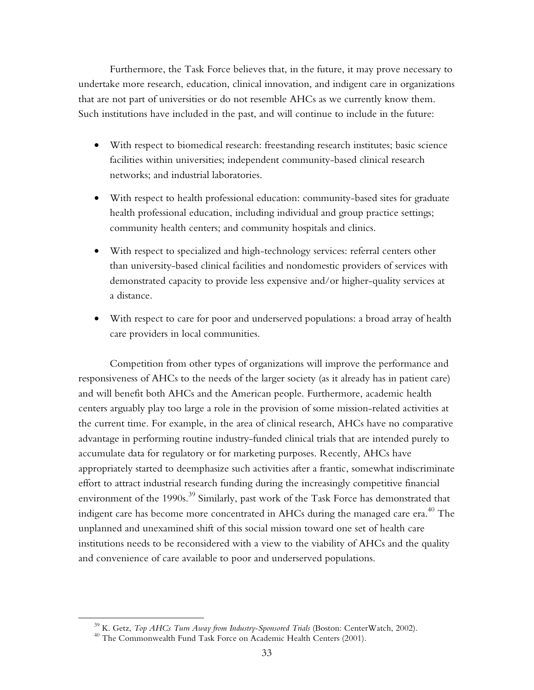Furthermore, the Task Force believes that, in the future, it may prove necessary to undertake more research, education, clinical innovation, and indigent care in organizations that are not part of universities or do not resemble AHCs as we currently know them. Such institutions have included in the past, and will continue to include in the future:

- With respect to biomedical research: freestanding research institutes; basic science facilities within universities; independent community-based clinical research networks; and industrial laboratories.
- With respect to health professional education: community-based sites for graduate health professional education, including individual and group practice settings; community health centers; and community hospitals and clinics.
- With respect to specialized and high-technology services: referral centers other than university-based clinical facilities and nondomestic providers of services with demonstrated capacity to provide less expensive and/or higher-quality services at a distance.
- With respect to care for poor and underserved populations: a broad array of health care providers in local communities.

Competition from other types of organizations will improve the performance and responsiveness of AHCs to the needs of the larger society (as it already has in patient care) and will benefit both AHCs and the American people. Furthermore, academic health centers arguably play too large a role in the provision of some mission-related activities at the current time. For example, in the area of clinical research, AHCs have no comparative advantage in performing routine industry-funded clinical trials that are intended purely to accumulate data for regulatory or for marketing purposes. Recently, AHCs have appropriately started to deemphasize such activities after a frantic, somewhat indiscriminate effort to attract industrial research funding during the increasingly competitive financial environment of the 1990s.<sup>39</sup> Similarly, past work of the Task Force has demonstrated that indigent care has become more concentrated in AHCs during the managed care era. $^{40}$  The unplanned and unexamined shift of this social mission toward one set of health care institutions needs to be reconsidered with a view to the viability of AHCs and the quality and convenience of care available to poor and underserved populations.

 $\overline{a}$ 

<sup>&</sup>lt;sup>39</sup> K. Getz, *Top AHCs Turn Away from Industry-Sponsored Trials* (Boston: CenterWatch, 2002).<br><sup>40</sup> The Commonwealth Fund Task Force on Academic Health Centers (2001).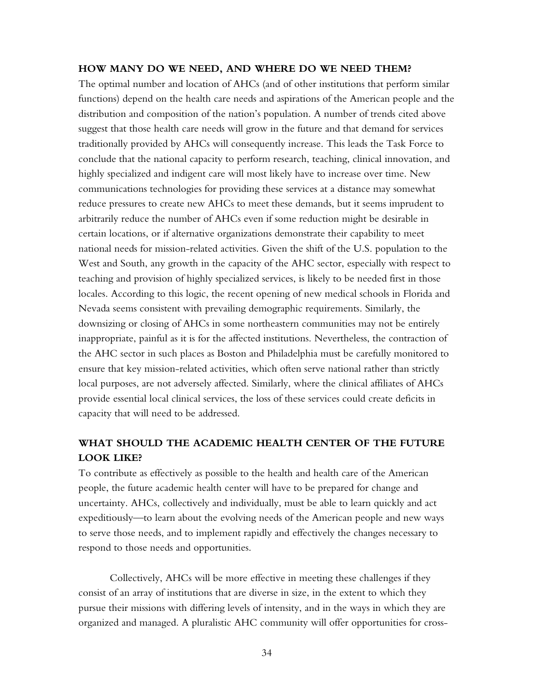## **HOW MANY DO WE NEED, AND WHERE DO WE NEED THEM?**

The optimal number and location of AHCs (and of other institutions that perform similar functions) depend on the health care needs and aspirations of the American people and the distribution and composition of the nation's population. A number of trends cited above suggest that those health care needs will grow in the future and that demand for services traditionally provided by AHCs will consequently increase. This leads the Task Force to conclude that the national capacity to perform research, teaching, clinical innovation, and highly specialized and indigent care will most likely have to increase over time. New communications technologies for providing these services at a distance may somewhat reduce pressures to create new AHCs to meet these demands, but it seems imprudent to arbitrarily reduce the number of AHCs even if some reduction might be desirable in certain locations, or if alternative organizations demonstrate their capability to meet national needs for mission-related activities. Given the shift of the U.S. population to the West and South, any growth in the capacity of the AHC sector, especially with respect to teaching and provision of highly specialized services, is likely to be needed first in those locales. According to this logic, the recent opening of new medical schools in Florida and Nevada seems consistent with prevailing demographic requirements. Similarly, the downsizing or closing of AHCs in some northeastern communities may not be entirely inappropriate, painful as it is for the affected institutions. Nevertheless, the contraction of the AHC sector in such places as Boston and Philadelphia must be carefully monitored to ensure that key mission-related activities, which often serve national rather than strictly local purposes, are not adversely affected. Similarly, where the clinical affiliates of AHCs provide essential local clinical services, the loss of these services could create deficits in capacity that will need to be addressed.

# **WHAT SHOULD THE ACADEMIC HEALTH CENTER OF THE FUTURE LOOK LIKE?**

To contribute as effectively as possible to the health and health care of the American people, the future academic health center will have to be prepared for change and uncertainty. AHCs, collectively and individually, must be able to learn quickly and act expeditiously—to learn about the evolving needs of the American people and new ways to serve those needs, and to implement rapidly and effectively the changes necessary to respond to those needs and opportunities.

Collectively, AHCs will be more effective in meeting these challenges if they consist of an array of institutions that are diverse in size, in the extent to which they pursue their missions with differing levels of intensity, and in the ways in which they are organized and managed. A pluralistic AHC community will offer opportunities for cross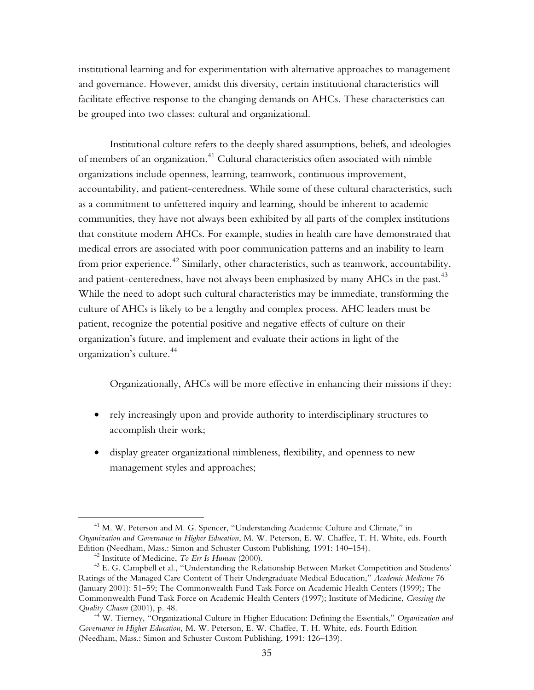institutional learning and for experimentation with alternative approaches to management and governance. However, amidst this diversity, certain institutional characteristics will facilitate effective response to the changing demands on AHCs. These characteristics can be grouped into two classes: cultural and organizational.

Institutional culture refers to the deeply shared assumptions, beliefs, and ideologies of members of an organization.<sup>41</sup> Cultural characteristics often associated with nimble organizations include openness, learning, teamwork, continuous improvement, accountability, and patient-centeredness. While some of these cultural characteristics, such as a commitment to unfettered inquiry and learning, should be inherent to academic communities, they have not always been exhibited by all parts of the complex institutions that constitute modern AHCs. For example, studies in health care have demonstrated that medical errors are associated with poor communication patterns and an inability to learn from prior experience.<sup>42</sup> Similarly, other characteristics, such as teamwork, accountability, and patient-centeredness, have not always been emphasized by many  $AHCs$  in the past.<sup>43</sup> While the need to adopt such cultural characteristics may be immediate, transforming the culture of AHCs is likely to be a lengthy and complex process. AHC leaders must be patient, recognize the potential positive and negative effects of culture on their organization's future, and implement and evaluate their actions in light of the organization's culture.44

Organizationally, AHCs will be more effective in enhancing their missions if they:

- rely increasingly upon and provide authority to interdisciplinary structures to accomplish their work;
- display greater organizational nimbleness, flexibility, and openness to new management styles and approaches;

 $\overline{a}$ 

<sup>&</sup>lt;sup>41</sup> M. W. Peterson and M. G. Spencer, "Understanding Academic Culture and Climate," in *Organization and Governance in Higher Education*, M. W. Peterson, E. W. Chaffee, T. H. White, eds. Fourth Edition (Needham, Mass.: Simon and Schuster Custom Publishing, 1991: 140–154).<br><sup>42</sup> Institute of Medicine, *To Err Is Human* (2000).<br><sup>43</sup> E. G. Campbell et al., "Understanding the Relationship Between Market Competition an

Ratings of the Managed Care Content of Their Undergraduate Medical Education," *Academic Medicine* 76 (January 2001): 51–59; The Commonwealth Fund Task Force on Academic Health Centers (1999); The Commonwealth Fund Task Force on Academic Health Centers (1997); Institute of Medicine, *Crossing the Quality Chasm* (2001), p. 48. 44 W. Tierney, "Organizational Culture in Higher Education: Defining the Essentials," *Organization and* 

*Governance in Higher Education,* M. W. Peterson, E. W. Chaffee, T. H. White, eds. Fourth Edition (Needham, Mass.: Simon and Schuster Custom Publishing, 1991: 126–139).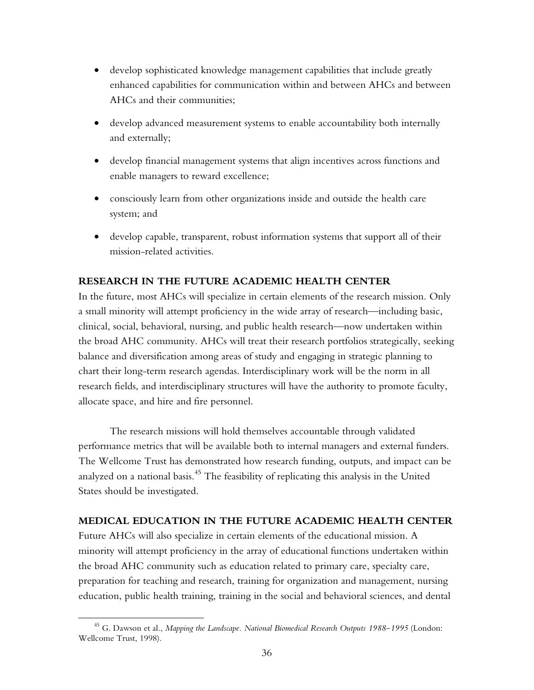- develop sophisticated knowledge management capabilities that include greatly enhanced capabilities for communication within and between AHCs and between AHCs and their communities;
- develop advanced measurement systems to enable accountability both internally and externally;
- develop financial management systems that align incentives across functions and enable managers to reward excellence;
- consciously learn from other organizations inside and outside the health care system; and
- develop capable, transparent, robust information systems that support all of their mission-related activities.

## **RESEARCH IN THE FUTURE ACADEMIC HEALTH CENTER**

In the future, most AHCs will specialize in certain elements of the research mission. Only a small minority will attempt proficiency in the wide array of research—including basic, clinical, social, behavioral, nursing, and public health research—now undertaken within the broad AHC community. AHCs will treat their research portfolios strategically, seeking balance and diversification among areas of study and engaging in strategic planning to chart their long-term research agendas. Interdisciplinary work will be the norm in all research fields, and interdisciplinary structures will have the authority to promote faculty, allocate space, and hire and fire personnel.

The research missions will hold themselves accountable through validated performance metrics that will be available both to internal managers and external funders. The Wellcome Trust has demonstrated how research funding, outputs, and impact can be analyzed on a national basis. $^{45}$  The feasibility of replicating this analysis in the United States should be investigated.

### **MEDICAL EDUCATION IN THE FUTURE ACADEMIC HEALTH CENTER**

Future AHCs will also specialize in certain elements of the educational mission. A minority will attempt proficiency in the array of educational functions undertaken within the broad AHC community such as education related to primary care, specialty care, preparation for teaching and research, training for organization and management, nursing education, public health training, training in the social and behavioral sciences, and dental

 $\overline{a}$ 

<sup>45</sup> G. Dawson et al., *Mapping the Landscape. National Biomedical Research Outputs 1988–1995* (London: Wellcome Trust, 1998).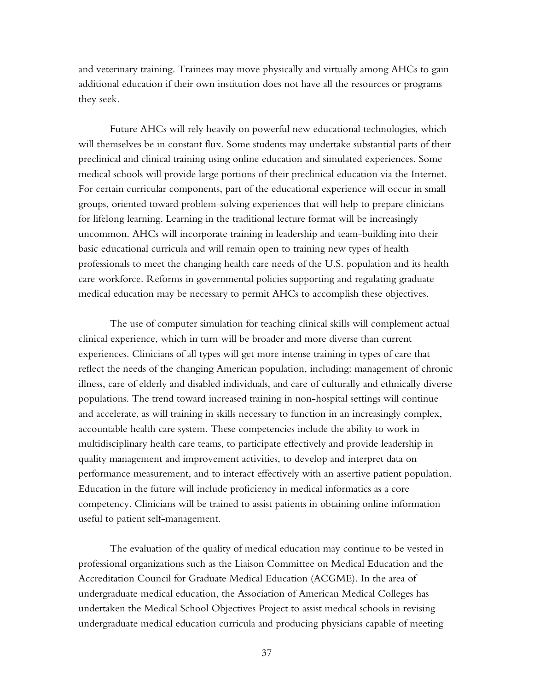and veterinary training. Trainees may move physically and virtually among AHCs to gain additional education if their own institution does not have all the resources or programs they seek.

Future AHCs will rely heavily on powerful new educational technologies, which will themselves be in constant flux. Some students may undertake substantial parts of their preclinical and clinical training using online education and simulated experiences. Some medical schools will provide large portions of their preclinical education via the Internet. For certain curricular components, part of the educational experience will occur in small groups, oriented toward problem-solving experiences that will help to prepare clinicians for lifelong learning. Learning in the traditional lecture format will be increasingly uncommon. AHCs will incorporate training in leadership and team-building into their basic educational curricula and will remain open to training new types of health professionals to meet the changing health care needs of the U.S. population and its health care workforce. Reforms in governmental policies supporting and regulating graduate medical education may be necessary to permit AHCs to accomplish these objectives.

The use of computer simulation for teaching clinical skills will complement actual clinical experience, which in turn will be broader and more diverse than current experiences. Clinicians of all types will get more intense training in types of care that reflect the needs of the changing American population, including: management of chronic illness, care of elderly and disabled individuals, and care of culturally and ethnically diverse populations. The trend toward increased training in non-hospital settings will continue and accelerate, as will training in skills necessary to function in an increasingly complex, accountable health care system. These competencies include the ability to work in multidisciplinary health care teams, to participate effectively and provide leadership in quality management and improvement activities, to develop and interpret data on performance measurement, and to interact effectively with an assertive patient population. Education in the future will include proficiency in medical informatics as a core competency. Clinicians will be trained to assist patients in obtaining online information useful to patient self-management.

The evaluation of the quality of medical education may continue to be vested in professional organizations such as the Liaison Committee on Medical Education and the Accreditation Council for Graduate Medical Education (ACGME). In the area of undergraduate medical education, the Association of American Medical Colleges has undertaken the Medical School Objectives Project to assist medical schools in revising undergraduate medical education curricula and producing physicians capable of meeting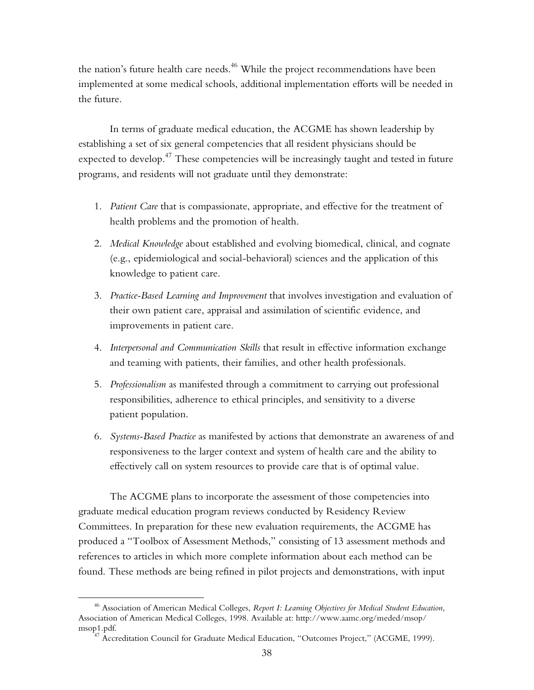the nation's future health care needs.<sup>46</sup> While the project recommendations have been implemented at some medical schools, additional implementation efforts will be needed in the future.

In terms of graduate medical education, the ACGME has shown leadership by establishing a set of six general competencies that all resident physicians should be expected to develop.<sup>47</sup> These competencies will be increasingly taught and tested in future programs, and residents will not graduate until they demonstrate:

- 1. *Patient Care* that is compassionate, appropriate, and effective for the treatment of health problems and the promotion of health.
- 2. *Medical Knowledge* about established and evolving biomedical, clinical, and cognate (e.g., epidemiological and social-behavioral) sciences and the application of this knowledge to patient care.
- 3. *Practice-Based Learning and Improvement* that involves investigation and evaluation of their own patient care, appraisal and assimilation of scientific evidence, and improvements in patient care.
- 4. *Interpersonal and Communication Skills* that result in effective information exchange and teaming with patients, their families, and other health professionals.
- 5. *Professionalism* as manifested through a commitment to carrying out professional responsibilities, adherence to ethical principles, and sensitivity to a diverse patient population.
- 6. *Systems-Based Practice* as manifested by actions that demonstrate an awareness of and responsiveness to the larger context and system of health care and the ability to effectively call on system resources to provide care that is of optimal value.

The ACGME plans to incorporate the assessment of those competencies into graduate medical education program reviews conducted by Residency Review Committees. In preparation for these new evaluation requirements, the ACGME has produced a "Toolbox of Assessment Methods," consisting of 13 assessment methods and references to articles in which more complete information about each method can be found. These methods are being refined in pilot projects and demonstrations, with input

1

<sup>46</sup> Association of American Medical Colleges, *Report I: Learning Objectives for Medical Student Education,* Association of American Medical Colleges, 1998. Available at: http://www.aamc.org/meded/msop/ msop1.pdf.<br><sup>47</sup> Accreditation Council for Graduate Medical Education, "Outcomes Project," (ACGME, 1999).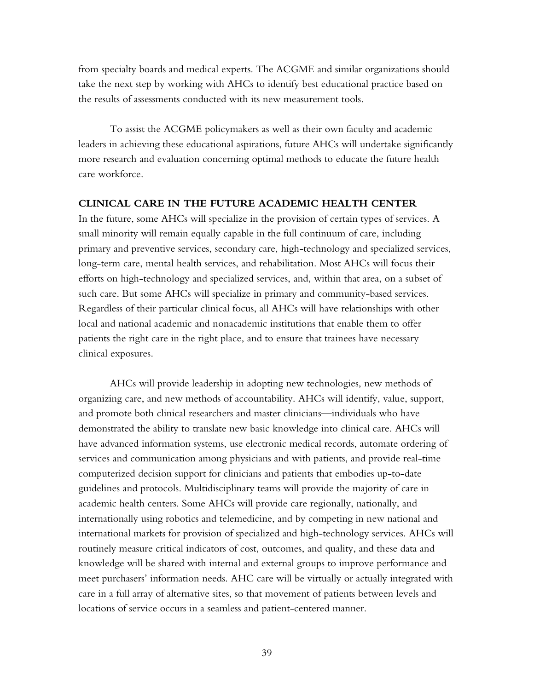from specialty boards and medical experts. The ACGME and similar organizations should take the next step by working with AHCs to identify best educational practice based on the results of assessments conducted with its new measurement tools.

To assist the ACGME policymakers as well as their own faculty and academic leaders in achieving these educational aspirations, future AHCs will undertake significantly more research and evaluation concerning optimal methods to educate the future health care workforce.

### **CLINICAL CARE IN THE FUTURE ACADEMIC HEALTH CENTER**

In the future, some AHCs will specialize in the provision of certain types of services. A small minority will remain equally capable in the full continuum of care, including primary and preventive services, secondary care, high-technology and specialized services, long-term care, mental health services, and rehabilitation. Most AHCs will focus their efforts on high-technology and specialized services, and, within that area, on a subset of such care. But some AHCs will specialize in primary and community-based services. Regardless of their particular clinical focus, all AHCs will have relationships with other local and national academic and nonacademic institutions that enable them to offer patients the right care in the right place, and to ensure that trainees have necessary clinical exposures.

AHCs will provide leadership in adopting new technologies, new methods of organizing care, and new methods of accountability. AHCs will identify, value, support, and promote both clinical researchers and master clinicians—individuals who have demonstrated the ability to translate new basic knowledge into clinical care. AHCs will have advanced information systems, use electronic medical records, automate ordering of services and communication among physicians and with patients, and provide real-time computerized decision support for clinicians and patients that embodies up-to-date guidelines and protocols. Multidisciplinary teams will provide the majority of care in academic health centers. Some AHCs will provide care regionally, nationally, and internationally using robotics and telemedicine, and by competing in new national and international markets for provision of specialized and high-technology services. AHCs will routinely measure critical indicators of cost, outcomes, and quality, and these data and knowledge will be shared with internal and external groups to improve performance and meet purchasers' information needs. AHC care will be virtually or actually integrated with care in a full array of alternative sites, so that movement of patients between levels and locations of service occurs in a seamless and patient-centered manner.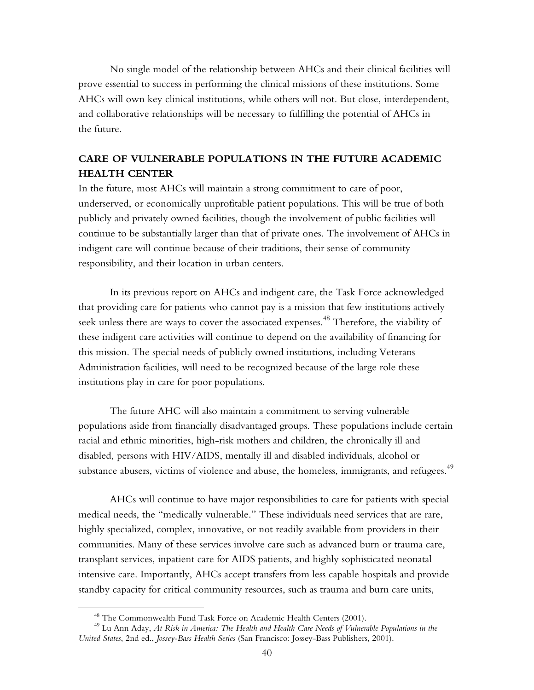No single model of the relationship between AHCs and their clinical facilities will prove essential to success in performing the clinical missions of these institutions. Some AHCs will own key clinical institutions, while others will not. But close, interdependent, and collaborative relationships will be necessary to fulfilling the potential of AHCs in the future.

# **CARE OF VULNERABLE POPULATIONS IN THE FUTURE ACADEMIC HEALTH CENTER**

In the future, most AHCs will maintain a strong commitment to care of poor, underserved, or economically unprofitable patient populations. This will be true of both publicly and privately owned facilities, though the involvement of public facilities will continue to be substantially larger than that of private ones. The involvement of AHCs in indigent care will continue because of their traditions, their sense of community responsibility, and their location in urban centers.

In its previous report on AHCs and indigent care, the Task Force acknowledged that providing care for patients who cannot pay is a mission that few institutions actively seek unless there are ways to cover the associated expenses.<sup>48</sup> Therefore, the viability of these indigent care activities will continue to depend on the availability of financing for this mission. The special needs of publicly owned institutions, including Veterans Administration facilities, will need to be recognized because of the large role these institutions play in care for poor populations.

The future AHC will also maintain a commitment to serving vulnerable populations aside from financially disadvantaged groups. These populations include certain racial and ethnic minorities, high-risk mothers and children, the chronically ill and disabled, persons with HIV/AIDS, mentally ill and disabled individuals, alcohol or substance abusers, victims of violence and abuse, the homeless, immigrants, and refugees.<sup>49</sup>

AHCs will continue to have major responsibilities to care for patients with special medical needs, the "medically vulnerable." These individuals need services that are rare, highly specialized, complex, innovative, or not readily available from providers in their communities. Many of these services involve care such as advanced burn or trauma care, transplant services, inpatient care for AIDS patients, and highly sophisticated neonatal intensive care. Importantly, AHCs accept transfers from less capable hospitals and provide standby capacity for critical community resources, such as trauma and burn care units,

 $\overline{a}$ 

<sup>&</sup>lt;sup>48</sup> The Commonwealth Fund Task Force on Academic Health Centers (2001).

<sup>49</sup> Lu Ann Aday, *At Risk in America: The Health and Health Care Needs of Vulnerable Populations in the United States*, 2nd ed., *Jossey-Bass Health Series* (San Francisco: Jossey-Bass Publishers, 2001).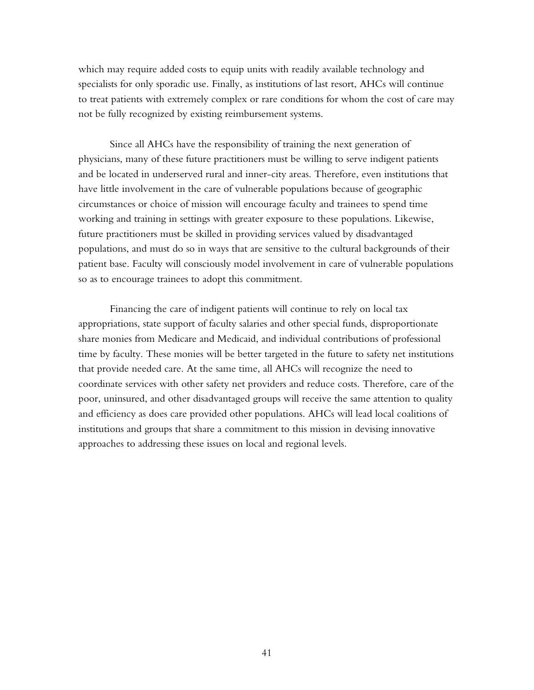which may require added costs to equip units with readily available technology and specialists for only sporadic use. Finally, as institutions of last resort, AHCs will continue to treat patients with extremely complex or rare conditions for whom the cost of care may not be fully recognized by existing reimbursement systems.

Since all AHCs have the responsibility of training the next generation of physicians, many of these future practitioners must be willing to serve indigent patients and be located in underserved rural and inner-city areas. Therefore, even institutions that have little involvement in the care of vulnerable populations because of geographic circumstances or choice of mission will encourage faculty and trainees to spend time working and training in settings with greater exposure to these populations. Likewise, future practitioners must be skilled in providing services valued by disadvantaged populations, and must do so in ways that are sensitive to the cultural backgrounds of their patient base. Faculty will consciously model involvement in care of vulnerable populations so as to encourage trainees to adopt this commitment.

Financing the care of indigent patients will continue to rely on local tax appropriations, state support of faculty salaries and other special funds, disproportionate share monies from Medicare and Medicaid, and individual contributions of professional time by faculty. These monies will be better targeted in the future to safety net institutions that provide needed care. At the same time, all AHCs will recognize the need to coordinate services with other safety net providers and reduce costs. Therefore, care of the poor, uninsured, and other disadvantaged groups will receive the same attention to quality and efficiency as does care provided other populations. AHCs will lead local coalitions of institutions and groups that share a commitment to this mission in devising innovative approaches to addressing these issues on local and regional levels.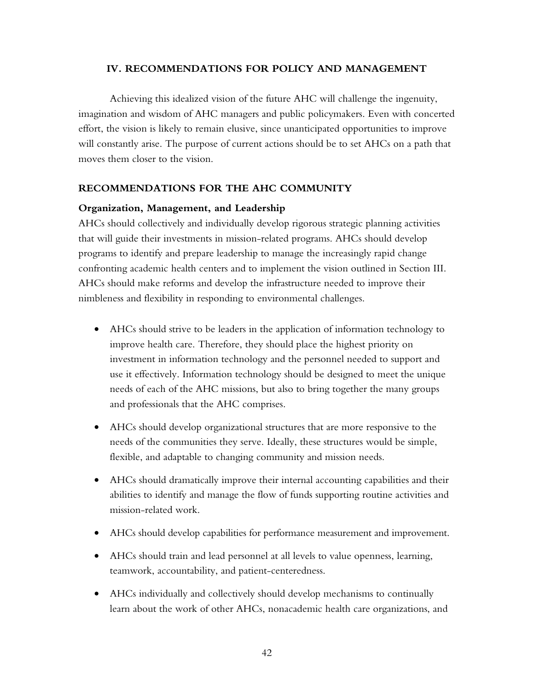### **IV. RECOMMENDATIONS FOR POLICY AND MANAGEMENT**

Achieving this idealized vision of the future AHC will challenge the ingenuity, imagination and wisdom of AHC managers and public policymakers. Even with concerted effort, the vision is likely to remain elusive, since unanticipated opportunities to improve will constantly arise. The purpose of current actions should be to set AHCs on a path that moves them closer to the vision.

## **RECOMMENDATIONS FOR THE AHC COMMUNITY**

## **Organization, Management, and Leadership**

AHCs should collectively and individually develop rigorous strategic planning activities that will guide their investments in mission-related programs. AHCs should develop programs to identify and prepare leadership to manage the increasingly rapid change confronting academic health centers and to implement the vision outlined in Section III. AHCs should make reforms and develop the infrastructure needed to improve their nimbleness and flexibility in responding to environmental challenges.

- AHCs should strive to be leaders in the application of information technology to improve health care. Therefore, they should place the highest priority on investment in information technology and the personnel needed to support and use it effectively. Information technology should be designed to meet the unique needs of each of the AHC missions, but also to bring together the many groups and professionals that the AHC comprises.
- AHCs should develop organizational structures that are more responsive to the needs of the communities they serve. Ideally, these structures would be simple, flexible, and adaptable to changing community and mission needs.
- AHCs should dramatically improve their internal accounting capabilities and their abilities to identify and manage the flow of funds supporting routine activities and mission-related work.
- AHCs should develop capabilities for performance measurement and improvement.
- AHCs should train and lead personnel at all levels to value openness, learning, teamwork, accountability, and patient-centeredness.
- AHCs individually and collectively should develop mechanisms to continually learn about the work of other AHCs, nonacademic health care organizations, and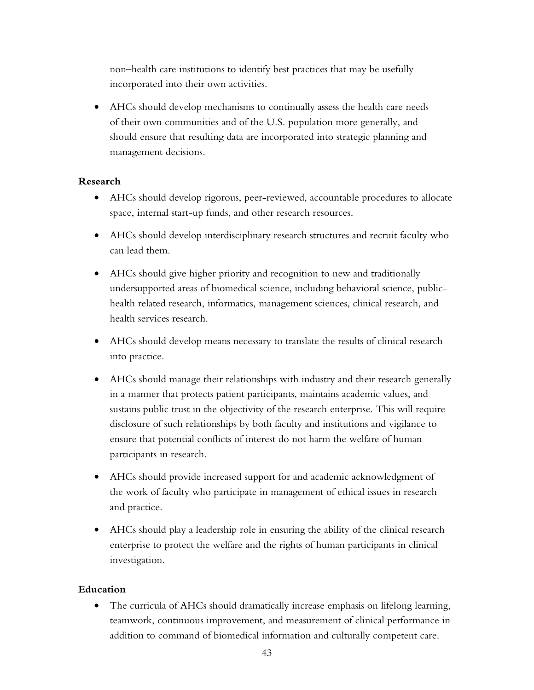non–health care institutions to identify best practices that may be usefully incorporated into their own activities.

• AHCs should develop mechanisms to continually assess the health care needs of their own communities and of the U.S. population more generally, and should ensure that resulting data are incorporated into strategic planning and management decisions.

## **Research**

- AHCs should develop rigorous, peer-reviewed, accountable procedures to allocate space, internal start-up funds, and other research resources.
- AHCs should develop interdisciplinary research structures and recruit faculty who can lead them.
- AHCs should give higher priority and recognition to new and traditionally undersupported areas of biomedical science, including behavioral science, publichealth related research, informatics, management sciences, clinical research, and health services research.
- AHCs should develop means necessary to translate the results of clinical research into practice.
- AHCs should manage their relationships with industry and their research generally in a manner that protects patient participants, maintains academic values, and sustains public trust in the objectivity of the research enterprise. This will require disclosure of such relationships by both faculty and institutions and vigilance to ensure that potential conflicts of interest do not harm the welfare of human participants in research.
- AHCs should provide increased support for and academic acknowledgment of the work of faculty who participate in management of ethical issues in research and practice.
- AHCs should play a leadership role in ensuring the ability of the clinical research enterprise to protect the welfare and the rights of human participants in clinical investigation.

## **Education**

• The curricula of AHCs should dramatically increase emphasis on lifelong learning, teamwork, continuous improvement, and measurement of clinical performance in addition to command of biomedical information and culturally competent care.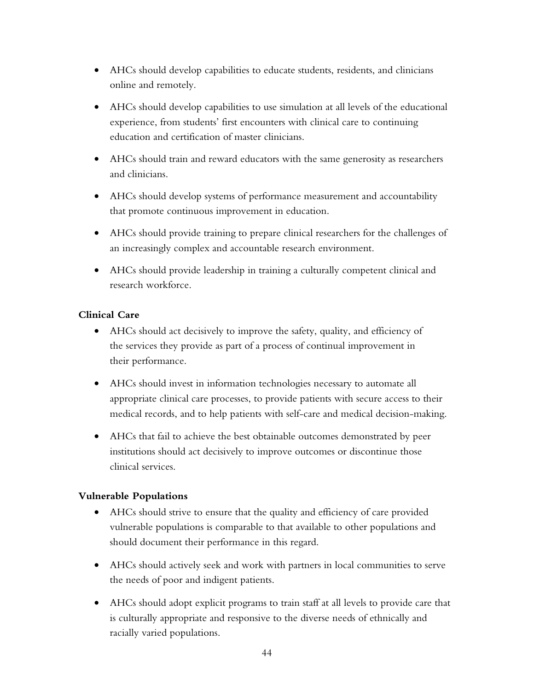- AHCs should develop capabilities to educate students, residents, and clinicians online and remotely.
- AHCs should develop capabilities to use simulation at all levels of the educational experience, from students' first encounters with clinical care to continuing education and certification of master clinicians.
- AHCs should train and reward educators with the same generosity as researchers and clinicians.
- AHCs should develop systems of performance measurement and accountability that promote continuous improvement in education.
- AHCs should provide training to prepare clinical researchers for the challenges of an increasingly complex and accountable research environment.
- AHCs should provide leadership in training a culturally competent clinical and research workforce.

# **Clinical Care**

- AHCs should act decisively to improve the safety, quality, and efficiency of the services they provide as part of a process of continual improvement in their performance.
- AHCs should invest in information technologies necessary to automate all appropriate clinical care processes, to provide patients with secure access to their medical records, and to help patients with self-care and medical decision-making.
- AHCs that fail to achieve the best obtainable outcomes demonstrated by peer institutions should act decisively to improve outcomes or discontinue those clinical services.

# **Vulnerable Populations**

- AHCs should strive to ensure that the quality and efficiency of care provided vulnerable populations is comparable to that available to other populations and should document their performance in this regard.
- AHCs should actively seek and work with partners in local communities to serve the needs of poor and indigent patients.
- AHCs should adopt explicit programs to train staff at all levels to provide care that is culturally appropriate and responsive to the diverse needs of ethnically and racially varied populations.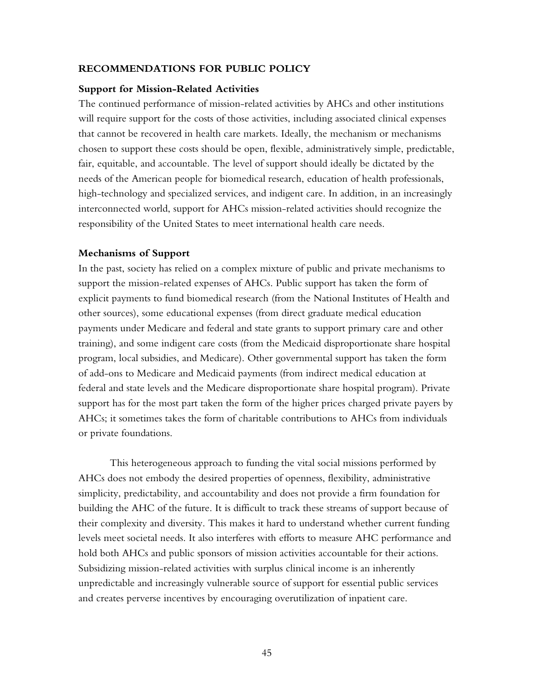#### **RECOMMENDATIONS FOR PUBLIC POLICY**

#### **Support for Mission-Related Activities**

The continued performance of mission-related activities by AHCs and other institutions will require support for the costs of those activities, including associated clinical expenses that cannot be recovered in health care markets. Ideally, the mechanism or mechanisms chosen to support these costs should be open, flexible, administratively simple, predictable, fair, equitable, and accountable. The level of support should ideally be dictated by the needs of the American people for biomedical research, education of health professionals, high-technology and specialized services, and indigent care. In addition, in an increasingly interconnected world, support for AHCs mission-related activities should recognize the responsibility of the United States to meet international health care needs.

#### **Mechanisms of Support**

In the past, society has relied on a complex mixture of public and private mechanisms to support the mission-related expenses of AHCs. Public support has taken the form of explicit payments to fund biomedical research (from the National Institutes of Health and other sources), some educational expenses (from direct graduate medical education payments under Medicare and federal and state grants to support primary care and other training), and some indigent care costs (from the Medicaid disproportionate share hospital program, local subsidies, and Medicare). Other governmental support has taken the form of add-ons to Medicare and Medicaid payments (from indirect medical education at federal and state levels and the Medicare disproportionate share hospital program). Private support has for the most part taken the form of the higher prices charged private payers by AHCs; it sometimes takes the form of charitable contributions to AHCs from individuals or private foundations.

This heterogeneous approach to funding the vital social missions performed by AHCs does not embody the desired properties of openness, flexibility, administrative simplicity, predictability, and accountability and does not provide a firm foundation for building the AHC of the future. It is difficult to track these streams of support because of their complexity and diversity. This makes it hard to understand whether current funding levels meet societal needs. It also interferes with efforts to measure AHC performance and hold both AHCs and public sponsors of mission activities accountable for their actions. Subsidizing mission-related activities with surplus clinical income is an inherently unpredictable and increasingly vulnerable source of support for essential public services and creates perverse incentives by encouraging overutilization of inpatient care.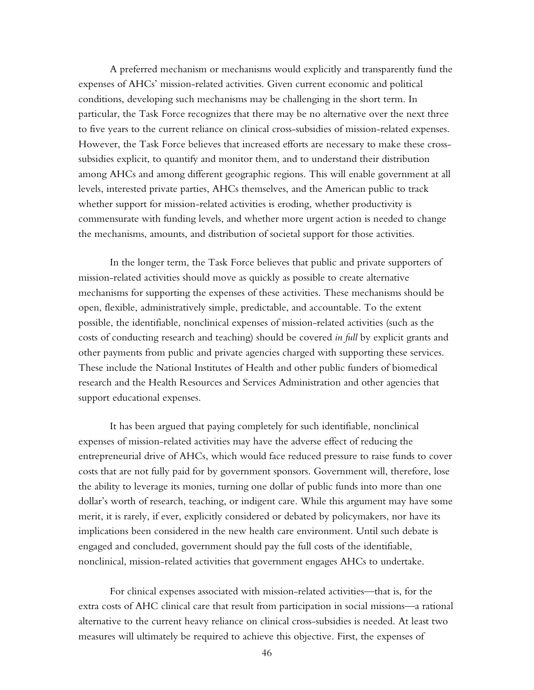A preferred mechanism or mechanisms would explicitly and transparently fund the expenses of AHCs' mission-related activities. Given current economic and political conditions, developing such mechanisms may be challenging in the short term. In particular, the Task Force recognizes that there may be no alternative over the next three to five years to the current reliance on clinical cross-subsidies of mission-related expenses. However, the Task Force believes that increased efforts are necessary to make these crosssubsidies explicit, to quantify and monitor them, and to understand their distribution among AHCs and among different geographic regions. This will enable government at all levels, interested private parties, AHCs themselves, and the American public to track whether support for mission-related activities is eroding, whether productivity is commensurate with funding levels, and whether more urgent action is needed to change the mechanisms, amounts, and distribution of societal support for those activities.

In the longer term, the Task Force believes that public and private supporters of mission-related activities should move as quickly as possible to create alternative mechanisms for supporting the expenses of these activities. These mechanisms should be open, flexible, administratively simple, predictable, and accountable. To the extent possible, the identifiable, nonclinical expenses of mission-related activities (such as the costs of conducting research and teaching) should be covered *in full* by explicit grants and other payments from public and private agencies charged with supporting these services. These include the National Institutes of Health and other public funders of biomedical research and the Health Resources and Services Administration and other agencies that support educational expenses.

It has been argued that paying completely for such identifiable, nonclinical expenses of mission-related activities may have the adverse effect of reducing the entrepreneurial drive of AHCs, which would face reduced pressure to raise funds to cover costs that are not fully paid for by government sponsors. Government will, therefore, lose the ability to leverage its monies, turning one dollar of public funds into more than one dollar's worth of research, teaching, or indigent care. While this argument may have some merit, it is rarely, if ever, explicitly considered or debated by policymakers, nor have its implications been considered in the new health care environment. Until such debate is engaged and concluded, government should pay the full costs of the identifiable, nonclinical, mission-related activities that government engages AHCs to undertake.

For clinical expenses associated with mission-related activities—that is, for the extra costs of AHC clinical care that result from participation in social missions—a rational alternative to the current heavy reliance on clinical cross-subsidies is needed. At least two measures will ultimately be required to achieve this objective. First, the expenses of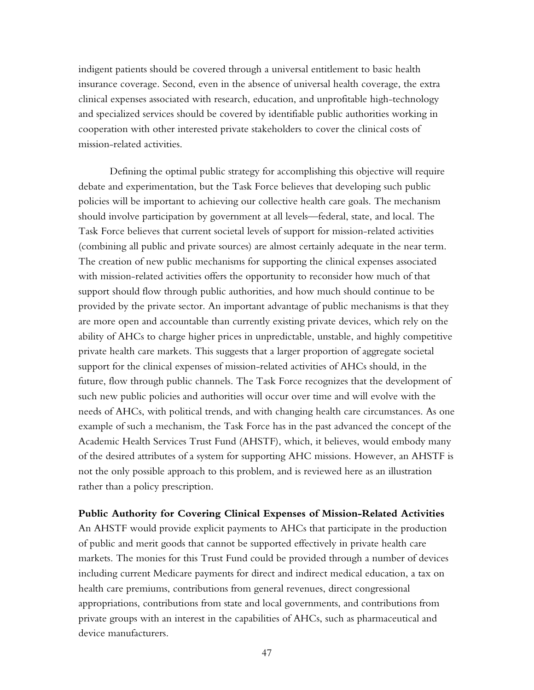indigent patients should be covered through a universal entitlement to basic health insurance coverage. Second, even in the absence of universal health coverage, the extra clinical expenses associated with research, education, and unprofitable high-technology and specialized services should be covered by identifiable public authorities working in cooperation with other interested private stakeholders to cover the clinical costs of mission-related activities.

Defining the optimal public strategy for accomplishing this objective will require debate and experimentation, but the Task Force believes that developing such public policies will be important to achieving our collective health care goals. The mechanism should involve participation by government at all levels—federal, state, and local. The Task Force believes that current societal levels of support for mission-related activities (combining all public and private sources) are almost certainly adequate in the near term. The creation of new public mechanisms for supporting the clinical expenses associated with mission-related activities offers the opportunity to reconsider how much of that support should flow through public authorities, and how much should continue to be provided by the private sector. An important advantage of public mechanisms is that they are more open and accountable than currently existing private devices, which rely on the ability of AHCs to charge higher prices in unpredictable, unstable, and highly competitive private health care markets. This suggests that a larger proportion of aggregate societal support for the clinical expenses of mission-related activities of AHCs should, in the future, flow through public channels. The Task Force recognizes that the development of such new public policies and authorities will occur over time and will evolve with the needs of AHCs, with political trends, and with changing health care circumstances. As one example of such a mechanism, the Task Force has in the past advanced the concept of the Academic Health Services Trust Fund (AHSTF), which, it believes, would embody many of the desired attributes of a system for supporting AHC missions. However, an AHSTF is not the only possible approach to this problem, and is reviewed here as an illustration rather than a policy prescription.

### **Public Authority for Covering Clinical Expenses of Mission-Related Activities**

An AHSTF would provide explicit payments to AHCs that participate in the production of public and merit goods that cannot be supported effectively in private health care markets. The monies for this Trust Fund could be provided through a number of devices including current Medicare payments for direct and indirect medical education, a tax on health care premiums, contributions from general revenues, direct congressional appropriations, contributions from state and local governments, and contributions from private groups with an interest in the capabilities of AHCs, such as pharmaceutical and device manufacturers.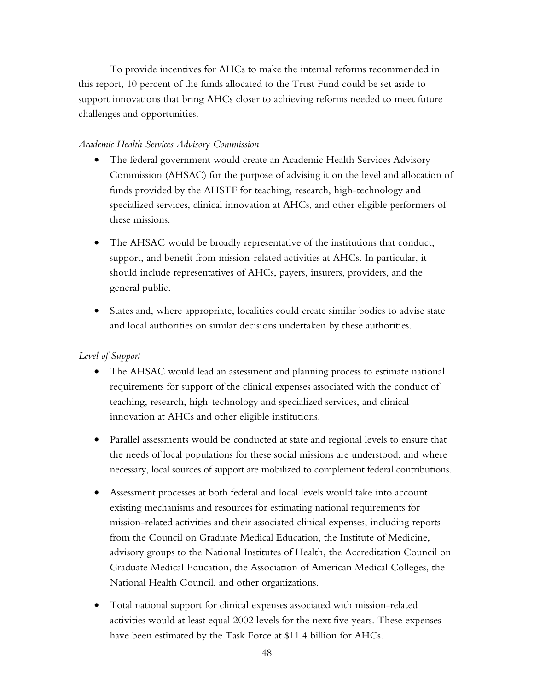To provide incentives for AHCs to make the internal reforms recommended in this report, 10 percent of the funds allocated to the Trust Fund could be set aside to support innovations that bring AHCs closer to achieving reforms needed to meet future challenges and opportunities.

## *Academic Health Services Advisory Commission*

- The federal government would create an Academic Health Services Advisory Commission (AHSAC) for the purpose of advising it on the level and allocation of funds provided by the AHSTF for teaching, research, high-technology and specialized services, clinical innovation at AHCs, and other eligible performers of these missions.
- The AHSAC would be broadly representative of the institutions that conduct, support, and benefit from mission-related activities at AHCs. In particular, it should include representatives of AHCs, payers, insurers, providers, and the general public.
- States and, where appropriate, localities could create similar bodies to advise state and local authorities on similar decisions undertaken by these authorities.

# *Level of Support*

- The AHSAC would lead an assessment and planning process to estimate national requirements for support of the clinical expenses associated with the conduct of teaching, research, high-technology and specialized services, and clinical innovation at AHCs and other eligible institutions.
- Parallel assessments would be conducted at state and regional levels to ensure that the needs of local populations for these social missions are understood, and where necessary, local sources of support are mobilized to complement federal contributions.
- Assessment processes at both federal and local levels would take into account existing mechanisms and resources for estimating national requirements for mission-related activities and their associated clinical expenses, including reports from the Council on Graduate Medical Education, the Institute of Medicine, advisory groups to the National Institutes of Health, the Accreditation Council on Graduate Medical Education, the Association of American Medical Colleges, the National Health Council, and other organizations.
- Total national support for clinical expenses associated with mission-related activities would at least equal 2002 levels for the next five years. These expenses have been estimated by the Task Force at \$11.4 billion for AHCs.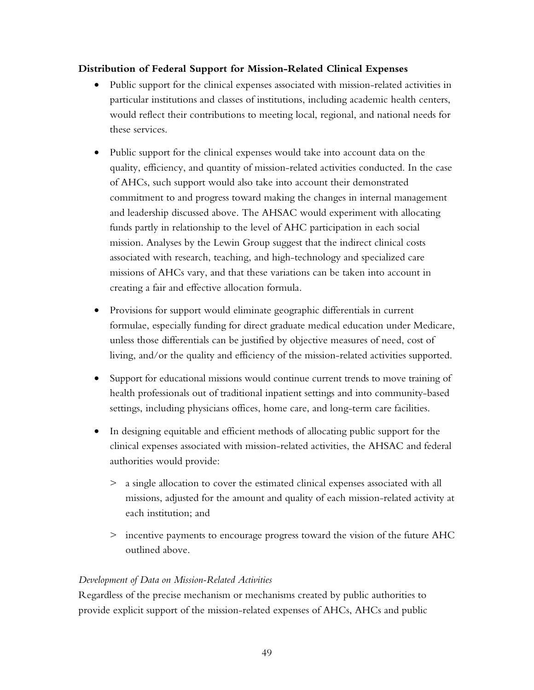## **Distribution of Federal Support for Mission-Related Clinical Expenses**

- Public support for the clinical expenses associated with mission-related activities in particular institutions and classes of institutions, including academic health centers, would reflect their contributions to meeting local, regional, and national needs for these services.
- Public support for the clinical expenses would take into account data on the quality, efficiency, and quantity of mission-related activities conducted. In the case of AHCs, such support would also take into account their demonstrated commitment to and progress toward making the changes in internal management and leadership discussed above. The AHSAC would experiment with allocating funds partly in relationship to the level of AHC participation in each social mission. Analyses by the Lewin Group suggest that the indirect clinical costs associated with research, teaching, and high-technology and specialized care missions of AHCs vary, and that these variations can be taken into account in creating a fair and effective allocation formula.
- Provisions for support would eliminate geographic differentials in current formulae, especially funding for direct graduate medical education under Medicare, unless those differentials can be justified by objective measures of need, cost of living, and/or the quality and efficiency of the mission-related activities supported.
- Support for educational missions would continue current trends to move training of health professionals out of traditional inpatient settings and into community-based settings, including physicians offices, home care, and long-term care facilities.
- In designing equitable and efficient methods of allocating public support for the clinical expenses associated with mission-related activities, the AHSAC and federal authorities would provide:
	- > a single allocation to cover the estimated clinical expenses associated with all missions, adjusted for the amount and quality of each mission-related activity at each institution; and
	- > incentive payments to encourage progress toward the vision of the future AHC outlined above.

# *Development of Data on Mission-Related Activities*

Regardless of the precise mechanism or mechanisms created by public authorities to provide explicit support of the mission-related expenses of AHCs, AHCs and public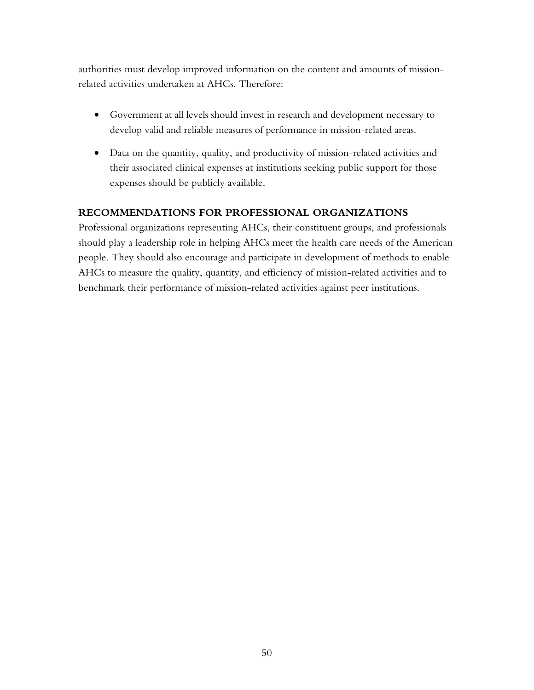authorities must develop improved information on the content and amounts of missionrelated activities undertaken at AHCs. Therefore:

- Government at all levels should invest in research and development necessary to develop valid and reliable measures of performance in mission-related areas.
- Data on the quantity, quality, and productivity of mission-related activities and their associated clinical expenses at institutions seeking public support for those expenses should be publicly available.

## **RECOMMENDATIONS FOR PROFESSIONAL ORGANIZATIONS**

Professional organizations representing AHCs, their constituent groups, and professionals should play a leadership role in helping AHCs meet the health care needs of the American people. They should also encourage and participate in development of methods to enable AHCs to measure the quality, quantity, and efficiency of mission-related activities and to benchmark their performance of mission-related activities against peer institutions.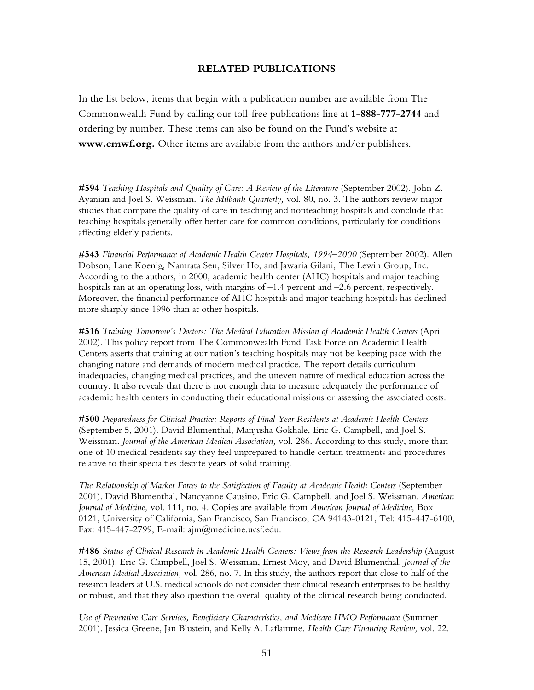#### **RELATED PUBLICATIONS**

In the list below, items that begin with a publication number are available from The Commonwealth Fund by calling our toll-free publications line at **1-888-777-2744** and ordering by number. These items can also be found on the Fund's website at **www.cmwf.org.** Other items are available from the authors and/or publishers.

**#594** *Teaching Hospitals and Quality of Care: A Review of the Literature* (September 2002). John Z. Ayanian and Joel S. Weissman. *The Milbank Quarterly,* vol. 80, no. 3. The authors review major studies that compare the quality of care in teaching and nonteaching hospitals and conclude that teaching hospitals generally offer better care for common conditions, particularly for conditions affecting elderly patients.

**#543** *Financial Performance of Academic Health Center Hospitals, 1994–2000* (September 2002). Allen Dobson, Lane Koenig, Namrata Sen, Silver Ho, and Jawaria Gilani, The Lewin Group, Inc. According to the authors, in 2000, academic health center (AHC) hospitals and major teaching hospitals ran at an operating loss, with margins of –1.4 percent and –2.6 percent, respectively. Moreover, the financial performance of AHC hospitals and major teaching hospitals has declined more sharply since 1996 than at other hospitals.

**#516** *Training Tomorrow's Doctors: The Medical Education Mission of Academic Health Centers* (April 2002). This policy report from The Commonwealth Fund Task Force on Academic Health Centers asserts that training at our nation's teaching hospitals may not be keeping pace with the changing nature and demands of modern medical practice. The report details curriculum inadequacies, changing medical practices, and the uneven nature of medical education across the country. It also reveals that there is not enough data to measure adequately the performance of academic health centers in conducting their educational missions or assessing the associated costs.

**#500** *Preparedness for Clinical Practice: Reports of Final-Year Residents at Academic Health Centers* (September 5, 2001). David Blumenthal, Manjusha Gokhale, Eric G. Campbell, and Joel S. Weissman. *Journal of the American Medical Association,* vol. 286. According to this study, more than one of 10 medical residents say they feel unprepared to handle certain treatments and procedures relative to their specialties despite years of solid training.

*The Relationship of Market Forces to the Satisfaction of Faculty at Academic Health Centers* (September 2001). David Blumenthal, Nancyanne Causino, Eric G. Campbell, and Joel S. Weissman. *American Journal of Medicine,* vol. 111, no. 4. Copies are available from *American Journal of Medicine,* Box 0121, University of California, San Francisco, San Francisco, CA 94143-0121, Tel: 415-447-6100, Fax: 415-447-2799, E-mail: ajm@medicine.ucsf.edu.

**#486** *Status of Clinical Research in Academic Health Centers: Views from the Research Leadership* (August 15, 2001). Eric G. Campbell, Joel S. Weissman, Ernest Moy, and David Blumenthal. *Journal of the American Medical Association,* vol. 286, no. 7. In this study, the authors report that close to half of the research leaders at U.S. medical schools do not consider their clinical research enterprises to be healthy or robust, and that they also question the overall quality of the clinical research being conducted.

*Use of Preventive Care Services, Beneficiary Characteristics, and Medicare HMO Performance* (Summer 2001). Jessica Greene, Jan Blustein, and Kelly A. Laflamme. *Health Care Financing Review,* vol. 22.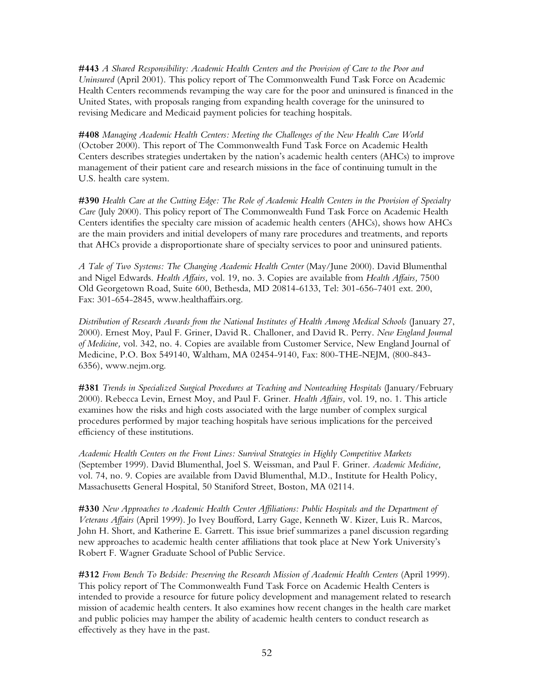**#443** *A Shared Responsibility: Academic Health Centers and the Provision of Care to the Poor and Uninsured* (April 2001). This policy report of The Commonwealth Fund Task Force on Academic Health Centers recommends revamping the way care for the poor and uninsured is financed in the United States, with proposals ranging from expanding health coverage for the uninsured to revising Medicare and Medicaid payment policies for teaching hospitals.

**#408** *Managing Academic Health Centers: Meeting the Challenges of the New Health Care World* (October 2000). This report of The Commonwealth Fund Task Force on Academic Health Centers describes strategies undertaken by the nation's academic health centers (AHCs) to improve management of their patient care and research missions in the face of continuing tumult in the U.S. health care system.

**#390** *Health Care at the Cutting Edge: The Role of Academic Health Centers in the Provision of Specialty Care* (July 2000). This policy report of The Commonwealth Fund Task Force on Academic Health Centers identifies the specialty care mission of academic health centers (AHCs), shows how AHCs are the main providers and initial developers of many rare procedures and treatments, and reports that AHCs provide a disproportionate share of specialty services to poor and uninsured patients.

*A Tale of Two Systems: The Changing Academic Health Center* (May/June 2000). David Blumenthal and Nigel Edwards. *Health Affairs,* vol. 19, no. 3. Copies are available from *Health Affairs,* 7500 Old Georgetown Road, Suite 600, Bethesda, MD 20814-6133, Tel: 301-656-7401 ext. 200, Fax: 301-654-2845, www.healthaffairs.org.

*Distribution of Research Awards from the National Institutes of Health Among Medical Schools* (January 27, 2000). Ernest Moy, Paul F. Griner, David R. Challoner, and David R. Perry. *New England Journal of Medicine,* vol. 342, no. 4. Copies are available from Customer Service, New England Journal of Medicine, P.O. Box 549140, Waltham, MA 02454-9140, Fax: 800-THE-NEJM, (800-843- 6356), www.nejm.org.

**#381** *Trends in Specialized Surgical Procedures at Teaching and Nonteaching Hospitals* (January/February 2000). Rebecca Levin, Ernest Moy, and Paul F. Griner. *Health Affairs,* vol. 19, no. 1. This article examines how the risks and high costs associated with the large number of complex surgical procedures performed by major teaching hospitals have serious implications for the perceived efficiency of these institutions.

*Academic Health Centers on the Front Lines: Survival Strategies in Highly Competitive Markets* (September 1999). David Blumenthal, Joel S. Weissman, and Paul F. Griner. *Academic Medicine,* vol. 74, no. 9. Copies are available from David Blumenthal, M.D., Institute for Health Policy, Massachusetts General Hospital, 50 Staniford Street, Boston, MA 02114.

**#330** *New Approaches to Academic Health Center Affiliations: Public Hospitals and the Department of Veterans Affairs* (April 1999). Jo Ivey Boufford, Larry Gage, Kenneth W. Kizer, Luis R. Marcos, John H. Short, and Katherine E. Garrett. This issue brief summarizes a panel discussion regarding new approaches to academic health center affiliations that took place at New York University's Robert F. Wagner Graduate School of Public Service.

**#312** *From Bench To Bedside: Preserving the Research Mission of Academic Health Centers* (April 1999). This policy report of The Commonwealth Fund Task Force on Academic Health Centers is intended to provide a resource for future policy development and management related to research mission of academic health centers. It also examines how recent changes in the health care market and public policies may hamper the ability of academic health centers to conduct research as effectively as they have in the past.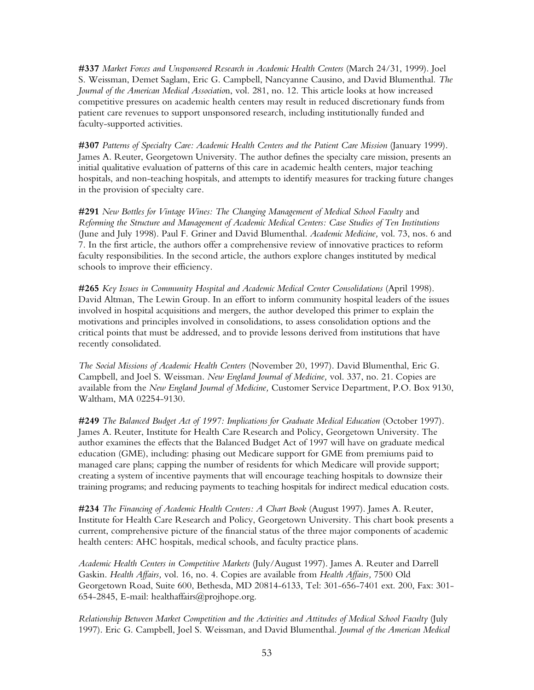**#337** *Market Forces and Unsponsored Research in Academic Health Centers* (March 24/31, 1999). Joel S. Weissman, Demet Saglam, Eric G. Campbell, Nancyanne Causino, and David Blumenthal*. The Journal of the American Medical Associatio*n, vol. 281, no. 12. This article looks at how increased competitive pressures on academic health centers may result in reduced discretionary funds from patient care revenues to support unsponsored research, including institutionally funded and faculty-supported activities.

**#307** *Patterns of Specialty Care: Academic Health Centers and the Patient Care Mission* (January 1999). James A. Reuter, Georgetown University. The author defines the specialty care mission, presents an initial qualitative evaluation of patterns of this care in academic health centers, major teaching hospitals, and non-teaching hospitals, and attempts to identify measures for tracking future changes in the provision of specialty care.

**#291** *New Bottles for Vintage Wines: The Changing Management of Medical School Faculty* and *Reforming the Structure and Management of Academic Medical Centers: Case Studies of Ten Institutions* (June and July 1998). Paul F. Griner and David Blumenthal. *Academic Medicine,* vol. 73, nos. 6 and 7. In the first article, the authors offer a comprehensive review of innovative practices to reform faculty responsibilities. In the second article, the authors explore changes instituted by medical schools to improve their efficiency.

**#265** *Key Issues in Community Hospital and Academic Medical Center Consolidations* (April 1998). David Altman, The Lewin Group. In an effort to inform community hospital leaders of the issues involved in hospital acquisitions and mergers, the author developed this primer to explain the motivations and principles involved in consolidations, to assess consolidation options and the critical points that must be addressed, and to provide lessons derived from institutions that have recently consolidated.

*The Social Missions of Academic Health Centers* (November 20, 1997). David Blumenthal, Eric G. Campbell, and Joel S. Weissman. *New England Journal of Medicine,* vol. 337, no. 21. Copies are available from the *New England Journal of Medicine,* Customer Service Department, P.O. Box 9130, Waltham, MA 02254-9130.

**#249** *The Balanced Budget Act of 1997: Implications for Graduate Medical Education* (October 1997). James A. Reuter, Institute for Health Care Research and Policy, Georgetown University. The author examines the effects that the Balanced Budget Act of 1997 will have on graduate medical education (GME), including: phasing out Medicare support for GME from premiums paid to managed care plans; capping the number of residents for which Medicare will provide support; creating a system of incentive payments that will encourage teaching hospitals to downsize their training programs; and reducing payments to teaching hospitals for indirect medical education costs.

**#234** *The Financing of Academic Health Centers: A Chart Book* (August 1997). James A. Reuter, Institute for Health Care Research and Policy, Georgetown University. This chart book presents a current, comprehensive picture of the financial status of the three major components of academic health centers: AHC hospitals, medical schools, and faculty practice plans.

*Academic Health Centers in Competitive Markets* (July/August 1997). James A. Reuter and Darrell Gaskin. *Health Affairs,* vol. 16, no. 4. Copies are available from *Health Affairs,* 7500 Old Georgetown Road, Suite 600, Bethesda, MD 20814-6133, Tel: 301-656-7401 ext. 200, Fax: 301- 654-2845, E-mail: healthaffairs@projhope.org.

*Relationship Between Market Competition and the Activities and Attitudes of Medical School Faculty* (July 1997). Eric G. Campbell, Joel S. Weissman, and David Blumenthal. *Journal of the American Medical*